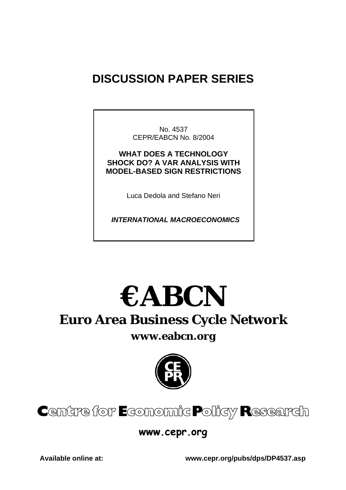## **DISCUSSION PAPER SERIES**

No. 4537 CEPR/EABCN No. 8/2004

**WHAT DOES A TECHNOLOGY SHOCK DO? A VAR ANALYSIS WITH MODEL-BASED SIGN RESTRICTIONS** 

Luca Dedola and Stefano Neri

 *INTERNATIONAL MACROECONOMICS* 

# **€ABCN**

## **Euro Area Business Cycle Network**

## **www.eabcn.org**



## Centre for Economic Policy Research

## **www.cepr.org**

**Available online at: www.cepr.org/pubs/dps/DP4537.asp**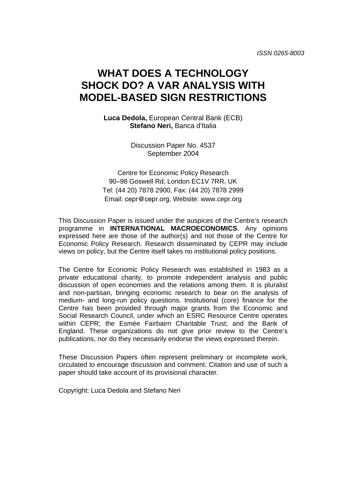## **WHAT DOES A TECHNOLOGY SHOCK DO? A VAR ANALYSIS WITH MODEL-BASED SIGN RESTRICTIONS**

**Luca Dedola,** European Central Bank (ECB) **Stefano Neri,** Banca d'Italia

> Discussion Paper No. 4537 September 2004

Centre for Economic Policy Research 90–98 Goswell Rd, London EC1V 7RR, UK Tel: (44 20) 7878 2900, Fax: (44 20) 7878 2999 Email: cepr@cepr.org, Website: www.cepr.org

This Discussion Paper is issued under the auspices of the Centre's research programme in **INTERNATIONAL MACROECONOMICS**. Any opinions expressed here are those of the author(s) and not those of the Centre for Economic Policy Research. Research disseminated by CEPR may include views on policy, but the Centre itself takes no institutional policy positions.

The Centre for Economic Policy Research was established in 1983 as a private educational charity, to promote independent analysis and public discussion of open economies and the relations among them. It is pluralist and non-partisan, bringing economic research to bear on the analysis of medium- and long-run policy questions. Institutional (core) finance for the Centre has been provided through major grants from the Economic and Social Research Council, under which an ESRC Resource Centre operates within CEPR; the Esmée Fairbairn Charitable Trust; and the Bank of England. These organizations do not give prior review to the Centre's publications, nor do they necessarily endorse the views expressed therein.

These Discussion Papers often represent preliminary or incomplete work, circulated to encourage discussion and comment. Citation and use of such a paper should take account of its provisional character.

Copyright: Luca Dedola and Stefano Neri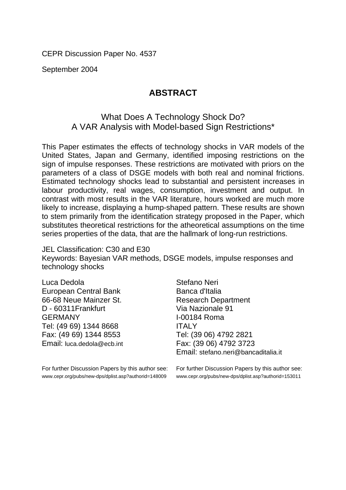CEPR Discussion Paper No. 4537

September 2004

## **ABSTRACT**

## What Does A Technology Shock Do? A VAR Analysis with Model-based Sign Restrictions\*

This Paper estimates the effects of technology shocks in VAR models of the United States, Japan and Germany, identified imposing restrictions on the sign of impulse responses. These restrictions are motivated with priors on the parameters of a class of DSGE models with both real and nominal frictions. Estimated technology shocks lead to substantial and persistent increases in labour productivity, real wages, consumption, investment and output. In contrast with most results in the VAR literature, hours worked are much more likely to increase, displaying a hump-shaped pattern. These results are shown to stem primarily from the identification strategy proposed in the Paper, which substitutes theoretical restrictions for the atheoretical assumptions on the time series properties of the data, that are the hallmark of long-run restrictions.

JEL Classification: C30 and E30 Keywords: Bayesian VAR methods, DSGE models, impulse responses and technology shocks

Luca Dedola European Central Bank 66-68 Neue Mainzer St. D - 60311Frankfurt GERMANY Tel: (49 69) 1344 8668 Fax: (49 69) 1344 8553 Email: luca.dedola@ecb.int

Stefano Neri Banca d'Italia Research Department Via Nazionale 91 I-00184 Roma ITALY Tel: (39 06) 4792 2821 Fax: (39 06) 4792 3723 Email: stefano.neri@bancaditalia.it

For further Discussion Papers by this author see: www.cepr.org/pubs/new-dps/dplist.asp?authorid=148009

For further Discussion Papers by this author see: www.cepr.org/pubs/new-dps/dplist.asp?authorid=153011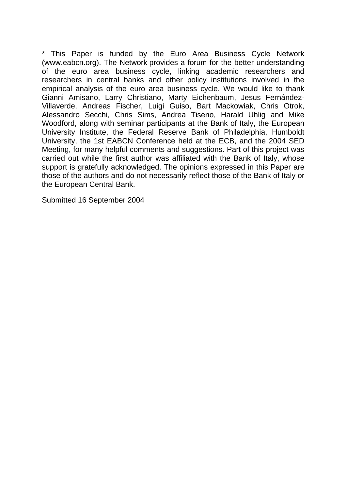\* This Paper is funded by the Euro Area Business Cycle Network (www.eabcn.org). The Network provides a forum for the better understanding of the euro area business cycle, linking academic researchers and researchers in central banks and other policy institutions involved in the empirical analysis of the euro area business cycle. We would like to thank Gianni Amisano, Larry Christiano, Marty Eichenbaum, Jesus Fernández-Villaverde, Andreas Fischer, Luigi Guiso, Bart Mackowiak, Chris Otrok, Alessandro Secchi, Chris Sims, Andrea Tiseno, Harald Uhlig and Mike Woodford, along with seminar participants at the Bank of Italy, the European University Institute, the Federal Reserve Bank of Philadelphia, Humboldt University, the 1st EABCN Conference held at the ECB, and the 2004 SED Meeting, for many helpful comments and suggestions. Part of this project was carried out while the first author was affiliated with the Bank of Italy, whose support is gratefully acknowledged. The opinions expressed in this Paper are those of the authors and do not necessarily reflect those of the Bank of Italy or the European Central Bank.

Submitted 16 September 2004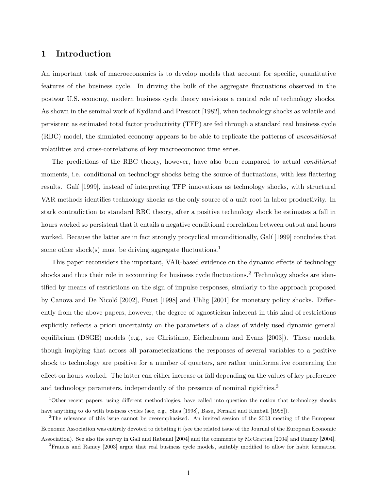#### 1 Introduction

An important task of macroeconomics is to develop models that account for specific, quantitative features of the business cycle. In driving the bulk of the aggregate fluctuations observed in the postwar U.S. economy, modern business cycle theory envisions a central role of technology shocks. As shown in the seminal work of Kydland and Prescott [1982], when technology shocks as volatile and persistent as estimated total factor productivity (TFP) are fed through a standard real business cycle (RBC) model, the simulated economy appears to be able to replicate the patterns of unconditional volatilities and cross-correlations of key macroeconomic time series.

The predictions of the RBC theory, however, have also been compared to actual conditional moments, i.e. conditional on technology shocks being the source of fluctuations, with less flattering results. Galí [1999], instead of interpreting TFP innovations as technology shocks, with structural VAR methods identifies technology shocks as the only source of a unit root in labor productivity. In stark contradiction to standard RBC theory, after a positive technology shock he estimates a fall in hours worked so persistent that it entails a negative conditional correlation between output and hours worked. Because the latter are in fact strongly procyclical unconditionally, Galí [1999] concludes that some other shock(s) must be driving aggregate fluctuations.<sup>1</sup>

This paper reconsiders the important, VAR-based evidence on the dynamic effects of technology shocks and thus their role in accounting for business cycle fluctuations.<sup>2</sup> Technology shocks are identified by means of restrictions on the sign of impulse responses, similarly to the approach proposed by Canova and De Nicoló  $[2002]$ , Faust  $[1998]$  and Uhlig  $[2001]$  for monetary policy shocks. Differently from the above papers, however, the degree of agnosticism inherent in this kind of restrictions explicitly reflects a priori uncertainty on the parameters of a class of widely used dynamic general equilibrium (DSGE) models (e.g., see Christiano, Eichenbaum and Evans [2003]). These models, though implying that across all parameterizations the responses of several variables to a positive shock to technology are positive for a number of quarters, are rather uninformative concerning the effect on hours worked. The latter can either increase or fall depending on the values of key preference and technology parameters, independently of the presence of nominal rigidities.<sup>3</sup>

<sup>&</sup>lt;sup>1</sup>Other recent papers, using different methodologies, have called into question the notion that technology shocks have anything to do with business cycles (see, e.g., Shea [1998], Basu, Fernald and Kimball [1998]).

<sup>&</sup>lt;sup>2</sup>The relevance of this issue cannot be overemphasized. An invited session of the 2003 meeting of the European Economic Association was entirely devoted to debating it (see the related issue of the Journal of the European Economic Association). See also the survey in Galí and Rabanal [2004] and the comments by McGrattan [2004] and Ramey [2004].

<sup>&</sup>lt;sup>3</sup>Francis and Ramey [2003] argue that real business cycle models, suitably modified to allow for habit formation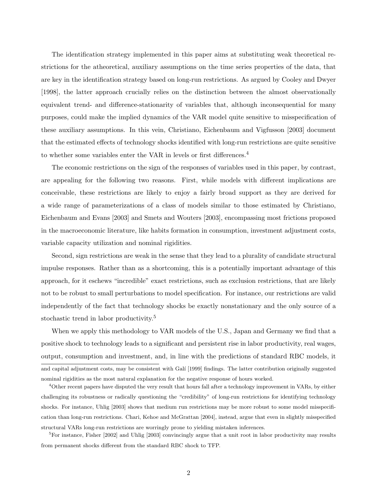The identification strategy implemented in this paper aims at substituting weak theoretical restrictions for the atheoretical, auxiliary assumptions on the time series properties of the data, that are key in the identification strategy based on long-run restrictions. As argued by Cooley and Dwyer [1998], the latter approach crucially relies on the distinction between the almost observationally equivalent trend- and difference-stationarity of variables that, although inconsequential for many purposes, could make the implied dynamics of the VAR model quite sensitive to misspecification of these auxiliary assumptions. In this vein, Christiano, Eichenbaum and Vigfusson [2003] document that the estimated effects of technology shocks identified with long-run restrictions are quite sensitive to whether some variables enter the VAR in levels or first differences.<sup>4</sup>

The economic restrictions on the sign of the responses of variables used in this paper, by contrast, are appealing for the following two reasons. First, while models with different implications are conceivable, these restrictions are likely to enjoy a fairly broad support as they are derived for a wide range of parameterizations of a class of models similar to those estimated by Christiano, Eichenbaum and Evans [2003] and Smets and Wouters [2003], encompassing most frictions proposed in the macroeconomic literature, like habits formation in consumption, investment adjustment costs, variable capacity utilization and nominal rigidities.

Second, sign restrictions are weak in the sense that they lead to a plurality of candidate structural impulse responses. Rather than as a shortcoming, this is a potentially important advantage of this approach, for it eschews "incredible" exact restrictions, such as exclusion restrictions, that are likely not to be robust to small perturbations to model specification. For instance, our restrictions are valid independently of the fact that technology shocks be exactly nonstationary and the only source of a stochastic trend in labor productivity.<sup>5</sup>

When we apply this methodology to VAR models of the U.S., Japan and Germany we find that a positive shock to technology leads to a significant and persistent rise in labor productivity, real wages, output, consumption and investment, and, in line with the predictions of standard RBC models, it and capital adjustment costs, may be consistent with Galí [1999] findings. The latter contribution originally suggested nominal rigidities as the most natural explanation for the negative response of hours worked.

<sup>4</sup>Other recent papers have disputed the very result that hours fall after a technology improvement in VARs, by either challenging its robustness or radically questioning the "credibility" of long-run restrictions for identifying technology shocks. For instance, Uhlig [2003] shows that medium run restrictions may be more robust to some model misspecification than long-run restrictions. Chari, Kehoe and McGrattan [2004], instead, argue that even in slightly misspecified structural VARs long-run restrictions are worringly prone to yielding mistaken inferences.

 $5$ For instance, Fisher [2002] and Uhlig [2003] convincingly argue that a unit root in labor productivity may results from permanent shocks different from the standard RBC shock to TFP.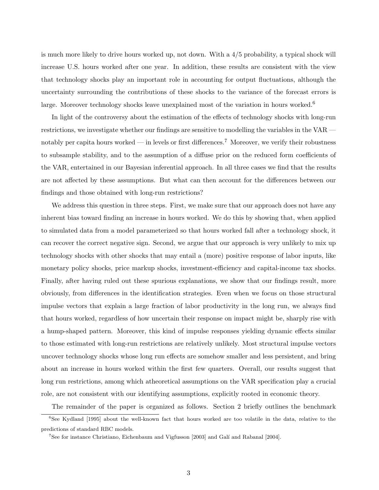is much more likely to drive hours worked up, not down. With a 4/5 probability, a typical shock will increase U.S. hours worked after one year. In addition, these results are consistent with the view that technology shocks play an important role in accounting for output fluctuations, although the uncertainty surrounding the contributions of these shocks to the variance of the forecast errors is large. Moreover technology shocks leave unexplained most of the variation in hours worked.<sup>6</sup>

In light of the controversy about the estimation of the effects of technology shocks with long-run restrictions, we investigate whether our findings are sensitive to modelling the variables in the VAR notably per capita hours worked — in levels or first differences.<sup>7</sup> Moreover, we verify their robustness to subsample stability, and to the assumption of a diffuse prior on the reduced form coefficients of the VAR, entertained in our Bayesian inferential approach. In all three cases we find that the results are not affected by these assumptions. But what can then account for the differences between our findings and those obtained with long-run restrictions?

We address this question in three steps. First, we make sure that our approach does not have any inherent bias toward finding an increase in hours worked. We do this by showing that, when applied to simulated data from a model parameterized so that hours worked fall after a technology shock, it can recover the correct negative sign. Second, we argue that our approach is very unlikely to mix up technology shocks with other shocks that may entail a (more) positive response of labor inputs, like monetary policy shocks, price markup shocks, investment-efficiency and capital-income tax shocks. Finally, after having ruled out these spurious explanations, we show that our findings result, more obviously, from differences in the identification strategies. Even when we focus on those structural impulse vectors that explain a large fraction of labor productivity in the long run, we always find that hours worked, regardless of how uncertain their response on impact might be, sharply rise with a hump-shaped pattern. Moreover, this kind of impulse responses yielding dynamic effects similar to those estimated with long-run restrictions are relatively unlikely. Most structural impulse vectors uncover technology shocks whose long run effects are somehow smaller and less persistent, and bring about an increase in hours worked within the first few quarters. Overall, our results suggest that long run restrictions, among which atheoretical assumptions on the VAR specification play a crucial role, are not consistent with our identifying assumptions, explicitly rooted in economic theory.

The remainder of the paper is organized as follows. Section 2 briefly outlines the benchmark

<sup>&</sup>lt;sup>6</sup>See Kydland [1995] about the well-known fact that hours worked are too volatile in the data, relative to the predictions of standard RBC models.

<sup>&</sup>lt;sup>7</sup>See for instance Christiano, Eichenbaum and Vigfusson [2003] and Galí and Rabanal [2004].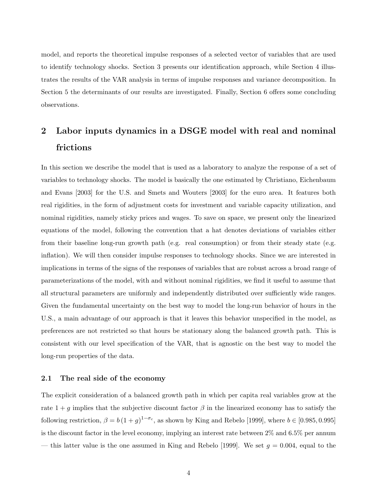model, and reports the theoretical impulse responses of a selected vector of variables that are used to identify technology shocks. Section 3 presents our identification approach, while Section 4 illustrates the results of the VAR analysis in terms of impulse responses and variance decomposition. In Section 5 the determinants of our results are investigated. Finally, Section 6 offers some concluding observations.

## 2 Labor inputs dynamics in a DSGE model with real and nominal frictions

In this section we describe the model that is used as a laboratory to analyze the response of a set of variables to technology shocks. The model is basically the one estimated by Christiano, Eichenbaum and Evans [2003] for the U.S. and Smets and Wouters [2003] for the euro area. It features both real rigidities, in the form of adjustment costs for investment and variable capacity utilization, and nominal rigidities, namely sticky prices and wages. To save on space, we present only the linearized equations of the model, following the convention that a hat denotes deviations of variables either from their baseline long-run growth path (e.g. real consumption) or from their steady state (e.g. inflation). We will then consider impulse responses to technology shocks. Since we are interested in implications in terms of the signs of the responses of variables that are robust across a broad range of parameterizations of the model, with and without nominal rigidities, we find it useful to assume that all structural parameters are uniformly and independently distributed over sufficiently wide ranges. Given the fundamental uncertainty on the best way to model the long-run behavior of hours in the U.S., a main advantage of our approach is that it leaves this behavior unspecified in the model, as preferences are not restricted so that hours be stationary along the balanced growth path. This is consistent with our level specification of the VAR, that is agnostic on the best way to model the long-run properties of the data.

#### 2.1 The real side of the economy

The explicit consideration of a balanced growth path in which per capita real variables grow at the rate  $1 + g$  implies that the subjective discount factor  $\beta$  in the linearized economy has to satisfy the following restriction,  $\beta = b(1+g)^{1-\sigma_c}$ , as shown by King and Rebelo [1999], where  $b \in [0.985, 0.995]$ is the discount factor in the level economy, implying an interest rate between 2% and 6.5% per annum — this latter value is the one assumed in King and Rebelo [1999]. We set  $g = 0.004$ , equal to the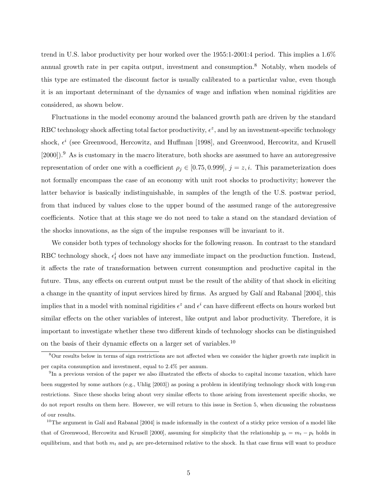trend in U.S. labor productivity per hour worked over the 1955:1-2001:4 period. This implies a 1.6% annual growth rate in per capita output, investment and consumption.<sup>8</sup> Notably, when models of this type are estimated the discount factor is usually calibrated to a particular value, even though it is an important determinant of the dynamics of wage and inflation when nominal rigidities are considered, as shown below.

Fluctuations in the model economy around the balanced growth path are driven by the standard RBC technology shock affecting total factor productivity,  $\epsilon^z$ , and by an investment-specific technology shock,  $\epsilon^i$  (see Greenwood, Hercowitz, and Huffman [1998], and Greenwood, Hercowitz, and Krusell  $[2000]$ .<sup>9</sup> As is customary in the macro literature, both shocks are assumed to have an autoregressive representation of order one with a coefficient  $\rho_j \in [0.75, 0.999], j = z, i$ . This parameterization does not formally encompass the case of an economy with unit root shocks to productivity; however the latter behavior is basically indistinguishable, in samples of the length of the U.S. postwar period, from that induced by values close to the upper bound of the assumed range of the autoregressive coefficients. Notice that at this stage we do not need to take a stand on the standard deviation of the shocks innovations, as the sign of the impulse responses will be invariant to it.

We consider both types of technology shocks for the following reason. In contrast to the standard RBC technology shock,  $\epsilon_t^i$  does not have any immediate impact on the production function. Instead, it affects the rate of transformation between current consumption and productive capital in the future. Thus, any effects on current output must be the result of the ability of that shock in eliciting a change in the quantity of input services hired by firms. As argued by Galí and Rabanal [2004], this implies that in a model with nominal rigidities  $\epsilon^z$  and  $\epsilon^i$  can have different effects on hours worked but similar effects on the other variables of interest, like output and labor productivity. Therefore, it is important to investigate whether these two different kinds of technology shocks can be distinguished on the basis of their dynamic effects on a larger set of variables.<sup>10</sup>

<sup>8</sup>Our results below in terms of sign restrictions are not affected when we consider the higher growth rate implicit in per capita consumption and investment, equal to 2.4% per annum.

<sup>&</sup>lt;sup>9</sup>In a previous version of the paper we also illustrated the effects of shocks to capital income taxation, which have been suggested by some authors (e.g., Uhlig [2003]) as posing a problem in identifying technology shock with long-run restrictions. Since these shocks bring about very similar effects to those arising from investement specific shocks, we do not report results on them here. However, we will return to this issue in Section 5, when dicussing the robustness of our results.

 $10$ <sup>10</sup>The argument in Galí and Rabanal [2004] is made informally in the context of a sticky price version of a model like that of Greenwood, Hercowitz and Krusell [2000], assuming for simplicity that the relationship  $y_t = m_t - p_t$  holds in equilibrium, and that both  $m_t$  and  $p_t$  are pre-determined relative to the shock. In that case firms will want to produce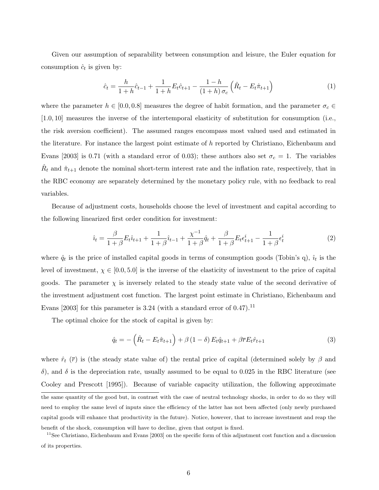Given our assumption of separability between consumption and leisure, the Euler equation for consumption  $\hat{c}_t$  is given by:

$$
\hat{c}_t = \frac{h}{1+h}\hat{c}_{t-1} + \frac{1}{1+h}E_t\hat{c}_{t+1} - \frac{1-h}{(1+h)\sigma_c}\left(\hat{R}_t - E_t\hat{\pi}_{t+1}\right)
$$
(1)

where the parameter  $h \in [0.0, 0.8]$  measures the degree of habit formation, and the parameter  $\sigma_c \in$ [1.0, 10] measures the inverse of the intertemporal elasticity of substitution for consumption (i.e., the risk aversion coefficient). The assumed ranges encompass most valued used and estimated in the literature. For instance the largest point estimate of  $h$  reported by Christiano, Eichenbaum and Evans [2003] is 0.71 (with a standard error of 0.03); these authors also set  $\sigma_c = 1$ . The variables  $\hat{R}_t$  and  $\hat{\pi}_{t+1}$  denote the nominal short-term interest rate and the inflation rate, respectively, that in the RBC economy are separately determined by the monetary policy rule, with no feedback to real variables.

Because of adjustment costs, households choose the level of investment and capital according to the following linearized first order condition for investment:

$$
\hat{i}_t = \frac{\beta}{1+\beta} E_t \hat{i}_{t+1} + \frac{1}{1+\beta} \hat{i}_{t-1} + \frac{\chi^{-1}}{1+\beta} \hat{q}_t + \frac{\beta}{1+\beta} E_t \epsilon_{t+1}^i - \frac{1}{1+\beta} \epsilon_t^i \tag{2}
$$

where  $\hat{q}_t$  is the price of installed capital goods in terms of consumption goods (Tobin's q),  $\hat{i}_t$  is the level of investment,  $\chi \in [0.0, 5.0]$  is the inverse of the elasticity of investment to the price of capital goods. The parameter  $\chi$  is inversely related to the steady state value of the second derivative of the investment adjustment cost function. The largest point estimate in Christiano, Eichenbaum and Evans [2003] for this parameter is 3.24 (with a standard error of  $(0.47)$ .<sup>11</sup>

The optimal choice for the stock of capital is given by:

$$
\hat{q}_t = -\left(\hat{R}_t - E_t \hat{\pi}_{t+1}\right) + \beta \left(1 - \delta\right) E_t \hat{q}_{t+1} + \beta \overline{r} E_t \hat{r}_{t+1} \tag{3}
$$

where  $\hat{r}_t$  ( $\bar{r}$ ) is (the steady state value of) the rental price of capital (determined solely by  $\beta$  and δ), and δ is the depreciation rate, usually assumed to be equal to 0.025 in the RBC literature (see Cooley and Prescott [1995]). Because of variable capacity utilization, the following approximate the same quantity of the good but, in contrast with the case of neutral technology shocks, in order to do so they will need to employ the same level of inputs since the efficiency of the latter has not been affected (only newly purchased capital goods will enhance that productivity in the future). Notice, however, that to increase investment and reap the benefit of the shock, consumption will have to decline, given that output is fixed.

<sup>&</sup>lt;sup>11</sup>See Christiano, Eichenbaum and Evans [2003] on the specific form of this adjustment cost function and a discussion of its properties.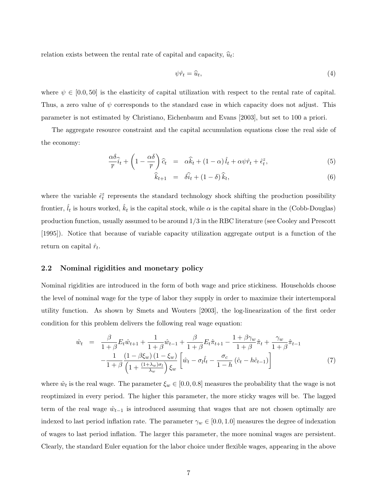relation exists between the rental rate of capital and capacity,  $\hat{u}_t$ :

$$
\psi \hat{r}_t = \hat{u}_t,\tag{4}
$$

where  $\psi \in [0.0, 50]$  is the elasticity of capital utilization with respect to the rental rate of capital. Thus, a zero value of  $\psi$  corresponds to the standard case in which capacity does not adjust. This parameter is not estimated by Christiano, Eichenbaum and Evans [2003], but set to 100 a priori.

The aggregate resource constraint and the capital accumulation equations close the real side of the economy:

$$
\frac{\alpha \delta}{\bar{r}}\hat{i}_t + \left(1 - \frac{\alpha \delta}{\bar{r}}\right)\hat{c}_t = \alpha \hat{k}_t + (1 - \alpha)\hat{l}_t + \alpha \psi \hat{r}_t + \hat{\epsilon}_t^z,\tag{5}
$$

$$
\widehat{k}_{t+1} = \widehat{\delta t}_t + (1 - \delta) \widehat{k}_t, \tag{6}
$$

where the variable  $\hat{\epsilon}_t^z$  represents the standard technology shock shifting the production possibility frontier,  $\hat{l}_t$  is hours worked,  $\hat{k}_t$  is the capital stock, while  $\alpha$  is the capital share in the (Cobb-Douglas) production function, usually assumed to be around 1/3 in the RBC literature (see Cooley and Prescott [1995]). Notice that because of variable capacity utilization aggregate output is a function of the return on capital  $\hat{r}_t$ .

#### 2.2 Nominal rigidities and monetary policy

Nominal rigidities are introduced in the form of both wage and price stickiness. Households choose the level of nominal wage for the type of labor they supply in order to maximize their intertemporal utility function. As shown by Smets and Wouters [2003], the log-linearization of the first order condition for this problem delivers the following real wage equation:

$$
\hat{w}_t = \frac{\beta}{1+\beta} E_t \hat{w}_{t+1} + \frac{1}{1+\beta} \hat{w}_{t-1} + \frac{\beta}{1+\beta} E_t \hat{\pi}_{t+1} - \frac{1+\beta \gamma_w}{1+\beta} \hat{\pi}_t + \frac{\gamma_w}{1+\beta} \hat{\pi}_{t-1} \n- \frac{1}{1+\beta} \frac{(1-\beta \xi_w) (1-\xi_w)}{\left(1 + \frac{(1+\lambda_w)\sigma_l}{\lambda_w}\right) \xi_w} \left[ \hat{w}_t - \sigma_l \hat{l}_t - \frac{\sigma_c}{1-h} (\hat{c}_t - h\hat{c}_{t-1}) \right]
$$
\n(7)

where  $\hat{w}_t$  is the real wage. The parameter  $\xi_w \in [0.0, 0.8]$  measures the probability that the wage is not reoptimized in every period. The higher this parameter, the more sticky wages will be. The lagged term of the real wage  $\hat{w}_{t-1}$  is introduced assuming that wages that are not chosen optimally are indexed to last period inflation rate. The parameter  $\gamma_w \in [0.0, 1.0]$  measures the degree of indexation of wages to last period inflation. The larger this parameter, the more nominal wages are persistent. Clearly, the standard Euler equation for the labor choice under flexible wages, appearing in the above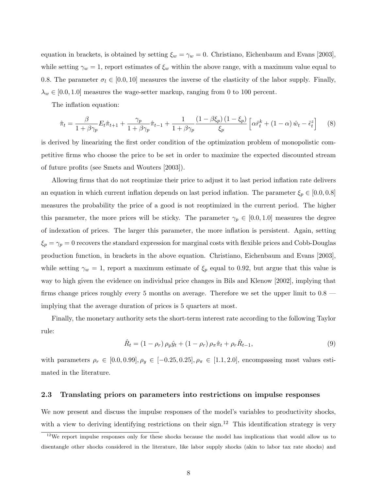equation in brackets, is obtained by setting  $\xi_w = \gamma_w = 0$ . Christiano, Eichenbaum and Evans [2003], while setting  $\gamma_w = 1$ , report estimates of  $\xi_w$  within the above range, with a maximum value equal to 0.8. The parameter  $\sigma_l \in [0.0, 10]$  measures the inverse of the elasticity of the labor supply. Finally,  $\lambda_w \in [0.0, 1.0]$  measures the wage-setter markup, ranging from 0 to 100 percent.

The inflation equation:

$$
\hat{\pi}_t = \frac{\beta}{1 + \beta \gamma_p} E_t \hat{\pi}_{t+1} + \frac{\gamma_p}{1 + \beta \gamma_p} \hat{\pi}_{t-1} + \frac{1}{1 + \beta \gamma_p} \frac{(1 - \beta \xi_p)(1 - \xi_p)}{\xi_p} \left[ \alpha \hat{r}_t^k + (1 - \alpha) \hat{w}_t - \hat{\epsilon}_t^z \right] \tag{8}
$$

is derived by linearizing the first order condition of the optimization problem of monopolistic competitive firms who choose the price to be set in order to maximize the expected discounted stream of future profits (see Smets and Wouters [2003]).

Allowing firms that do not reoptimize their price to adjust it to last period inflation rate delivers an equation in which current inflation depends on last period inflation. The parameter  $\xi_p \in [0.0, 0.8]$ measures the probability the price of a good is not reoptimized in the current period. The higher this parameter, the more prices will be sticky. The parameter  $\gamma_p \in [0.0, 1.0]$  measures the degree of indexation of prices. The larger this parameter, the more inflation is persistent. Again, setting  $\xi_p = \gamma_p = 0$  recovers the standard expression for marginal costs with flexible prices and Cobb-Douglas production function, in brackets in the above equation. Christiano, Eichenbaum and Evans [2003], while setting  $\gamma_w = 1$ , report a maximum estimate of  $\xi_p$  equal to 0.92, but argue that this value is way to high given the evidence on individual price changes in Bils and Klenow [2002], implying that firms change prices roughly every 5 months on average. Therefore we set the upper limit to 0.8 implying that the average duration of prices is 5 quarters at most.

Finally, the monetary authority sets the short-term interest rate according to the following Taylor rule:

$$
\hat{R}_t = (1 - \rho_r) \rho_y \hat{y}_t + (1 - \rho_r) \rho_\pi \hat{\pi}_t + \rho_r \hat{R}_{t-1},
$$
\n(9)

with parameters  $\rho_r \in [0.0, 0.99], \rho_y \in [-0.25, 0.25], \rho_\pi \in [1.1, 2.0]$ , encompassing most values estimated in the literature.

#### 2.3 Translating priors on parameters into restrictions on impulse responses

We now present and discuss the impulse responses of the model's variables to productivity shocks, with a view to deriving identifying restrictions on their sign.<sup>12</sup> This identification strategy is very

 $12$ We report impulse responses only for these shocks because the model has implications that would allow us to disentangle other shocks considered in the literature, like labor supply shocks (akin to labor tax rate shocks) and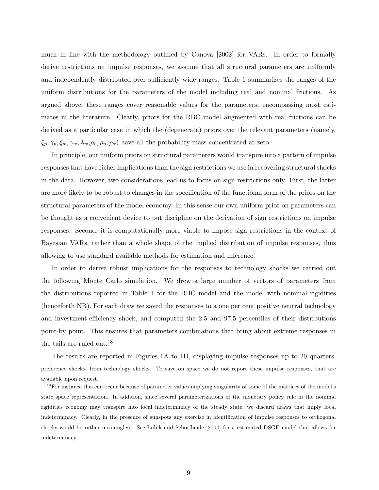much in line with the methodology outlined by Canova [2002] for VARs. In order to formally derive restrictions on impulse responses, we assume that all structural parameters are uniformly and independently distributed over sufficiently wide ranges. Table 1 summarizes the ranges of the uniform distributions for the parameters of the model including real and nominal frictions. As argued above, these ranges cover reasonable values for the parameters, encompassing most estimates in the literature. Clearly, priors for the RBC model augmented with real frictions can be derived as a particular case in which the (degenerate) priors over the relevant parameters (namely,  $\xi_p, \gamma_p, \xi_w, \gamma_w, \lambda_w, \rho_r, \rho_y, \rho_\pi$  have all the probability mass concentrated at zero.

In principle, our uniform priors on structural parameters would transpire into a pattern of impulse responses that have richer implications than the sign restrictions we use in recovering structural shocks in the data. However, two considerations lead us to focus on sign restrictions only. First, the latter are more likely to be robust to changes in the specification of the functional form of the priors on the structural parameters of the model economy. In this sense our own uniform prior on parameters can be thought as a convenient device to put discipline on the derivation of sign restrictions on impulse responses. Second, it is computationally more viable to impose sign restrictions in the context of Bayesian VARs, rather than a whole shape of the implied distribution of impulse responses, thus allowing to use standard available methods for estimation and inference.

In order to derive robust implications for the responses to technology shocks we carried out the following Monte Carlo simulation. We drew a large number of vectors of parameters from the distributions reported in Table 1 for the RBC model and the model with nominal rigidities (henceforth NR). For each draw we saved the responses to a one per cent positive neutral technology and investment-efficiency shock, and computed the 2.5 and 97.5 percentiles of their distributions point-by point. This ensures that parameters combinations that bring about extreme responses in the tails are ruled out.<sup>13</sup>

The results are reported in Figures 1A to 1D, displaying impulse responses up to 20 quarters. preference shocks, from technology shocks. To save on space we do not report these impulse responses, that are available upon request.

<sup>&</sup>lt;sup>13</sup>For instance this can occur because of parameter values implying singularity of some of the matrices of the model's state space representation. In addition, since several parameterizations of the monetary policy rule in the nominal rigidities economy may transpire into local indeterminacy of the steady state, we discard draws that imply local indeterminacy. Clearly, in the presence of sunspots any exercise in identification of impulse responses to orthogonal shocks would be rather meaningless. See Lubik and Schorfheide [2004] for a estimated DSGE model that allows for indeterminacy.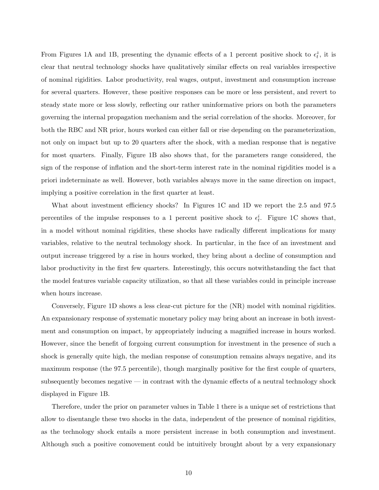From Figures 1A and 1B, presenting the dynamic effects of a 1 percent positive shock to  $\epsilon_t^z$ , it is clear that neutral technology shocks have qualitatively similar effects on real variables irrespective of nominal rigidities. Labor productivity, real wages, output, investment and consumption increase for several quarters. However, these positive responses can be more or less persistent, and revert to steady state more or less slowly, reflecting our rather uninformative priors on both the parameters governing the internal propagation mechanism and the serial correlation of the shocks. Moreover, for both the RBC and NR prior, hours worked can either fall or rise depending on the parameterization, not only on impact but up to 20 quarters after the shock, with a median response that is negative for most quarters. Finally, Figure 1B also shows that, for the parameters range considered, the sign of the response of inflation and the short-term interest rate in the nominal rigidities model is a priori indeterminate as well. However, both variables always move in the same direction on impact, implying a positive correlation in the first quarter at least.

What about investment efficiency shocks? In Figures 1C and 1D we report the 2.5 and 97.5 percentiles of the impulse responses to a 1 percent positive shock to  $\epsilon_t^i$ . Figure 1C shows that, in a model without nominal rigidities, these shocks have radically different implications for many variables, relative to the neutral technology shock. In particular, in the face of an investment and output increase triggered by a rise in hours worked, they bring about a decline of consumption and labor productivity in the first few quarters. Interestingly, this occurs notwithstanding the fact that the model features variable capacity utilization, so that all these variables could in principle increase when hours increase.

Conversely, Figure 1D shows a less clear-cut picture for the (NR) model with nominal rigidities. An expansionary response of systematic monetary policy may bring about an increase in both investment and consumption on impact, by appropriately inducing a magnified increase in hours worked. However, since the benefit of forgoing current consumption for investment in the presence of such a shock is generally quite high, the median response of consumption remains always negative, and its maximum response (the 97.5 percentile), though marginally positive for the first couple of quarters, subsequently becomes negative — in contrast with the dynamic effects of a neutral technology shock displayed in Figure 1B.

Therefore, under the prior on parameter values in Table 1 there is a unique set of restrictions that allow to disentangle these two shocks in the data, independent of the presence of nominal rigidities, as the technology shock entails a more persistent increase in both consumption and investment. Although such a positive comovement could be intuitively brought about by a very expansionary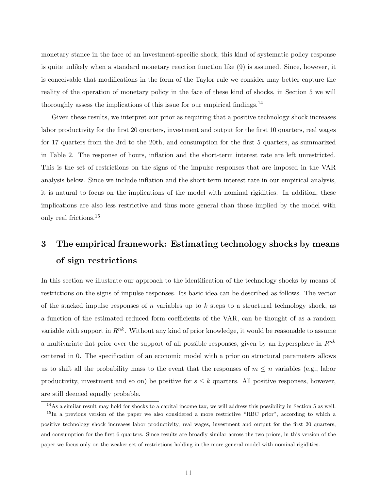monetary stance in the face of an investment-specific shock, this kind of systematic policy response is quite unlikely when a standard monetary reaction function like (9) is assumed. Since, however, it is conceivable that modifications in the form of the Taylor rule we consider may better capture the reality of the operation of monetary policy in the face of these kind of shocks, in Section 5 we will thoroughly assess the implications of this issue for our empirical findings.<sup>14</sup>

Given these results, we interpret our prior as requiring that a positive technology shock increases labor productivity for the first 20 quarters, investment and output for the first 10 quarters, real wages for 17 quarters from the 3rd to the 20th, and consumption for the first 5 quarters, as summarized in Table 2. The response of hours, inflation and the short-term interest rate are left unrestricted. This is the set of restrictions on the signs of the impulse responses that are imposed in the VAR analysis below. Since we include inflation and the short-term interest rate in our empirical analysis, it is natural to focus on the implications of the model with nominal rigidities. In addition, these implications are also less restrictive and thus more general than those implied by the model with only real frictions.<sup>15</sup>

## 3 The empirical framework: Estimating technology shocks by means of sign restrictions

In this section we illustrate our approach to the identification of the technology shocks by means of restrictions on the signs of impulse responses. Its basic idea can be described as follows. The vector of the stacked impulse responses of n variables up to  $k$  steps to a structural technology shock, as a function of the estimated reduced form coefficients of the VAR, can be thought of as a random variable with support in  $\mathbb{R}^{nk}$ . Without any kind of prior knowledge, it would be reasonable to assume a multivariate flat prior over the support of all possible responses, given by an hypersphere in  $R^{nk}$ centered in 0. The specification of an economic model with a prior on structural parameters allows us to shift all the probability mass to the event that the responses of  $m \leq n$  variables (e.g., labor productivity, investment and so on) be positive for  $s \leq k$  quarters. All positive responses, however, are still deemed equally probable.

 $14$ As a similar result may hold for shocks to a capital income tax, we will address this possibility in Section 5 as well. <sup>15</sup>In a previous version of the paper we also considered a more restrictive "RBC prior", according to which a positive technology shock increases labor productivity, real wages, investment and output for the first 20 quarters, and consumption for the first 6 quarters. Since results are broadly similar across the two priors, in this version of the paper we focus only on the weaker set of restrictions holding in the more general model with nominal rigidities.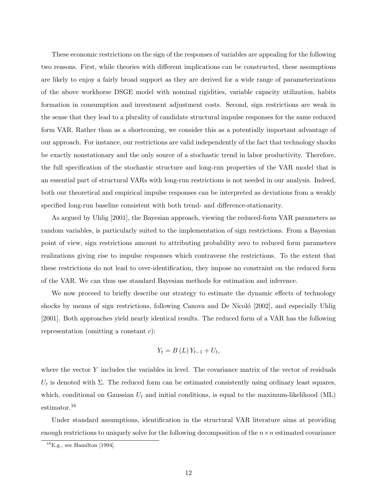These economic restrictions on the sign of the responses of variables are appealing for the following two reasons. First, while theories with different implications can be constructed, these assumptions are likely to enjoy a fairly broad support as they are derived for a wide range of parameterizations of the above workhorse DSGE model with nominal rigidities, variable capacity utilization, habits formation in consumption and investment adjustment costs. Second, sign restrictions are weak in the sense that they lead to a plurality of candidate structural impulse responses for the same reduced form VAR. Rather than as a shortcoming, we consider this as a potentially important advantage of our approach. For instance, our restrictions are valid independently of the fact that technology shocks be exactly nonstationary and the only source of a stochastic trend in labor productivity. Therefore, the full specification of the stochastic structure and long-run properties of the VAR model that is an essential part of structural VARs with long-run restrictions is not needed in our analysis. Indeed, both our theoretical and empirical impulse responses can be interpreted as deviations from a weakly specified long-run baseline consistent with both trend- and difference-stationarity.

As argued by Uhlig [2001], the Bayesian approach, viewing the reduced-form VAR parameters as random variables, is particularly suited to the implementation of sign restrictions. From a Bayesian point of view, sign restrictions amount to attributing probability zero to reduced form parameters realizations giving rise to impulse responses which contravene the restrictions. To the extent that these restrictions do not lead to over-identification, they impose no constraint on the reduced form of the VAR. We can thus use standard Bayesian methods for estimation and inference.

We now proceed to briefly describe our strategy to estimate the dynamic effects of technology shocks by means of sign restrictions, following Canova and De Nicoló [2002], and especially Uhlig [2001]. Both approaches yield nearly identical results. The reduced form of a VAR has the following representation (omitting a constant  $c$ ):

$$
Y_t = B(L)Y_{t-1} + U_t,
$$

where the vector Y includes the variables in level. The covariance matrix of the vector of residuals  $U_t$  is denoted with  $\Sigma$ . The reduced form can be estimated consistently using ordinary least squares, which, conditional on Gaussian  $U_t$  and initial conditions, is equal to the maximum-likelihood (ML) estimator.<sup>16</sup>

Under standard assumptions, identification in the structural VAR literature aims at providing enough restrictions to uniquely solve for the following decomposition of the  $n \times n$  estimated covariance

 $^{16}$ E.g., see Hamilton [1994].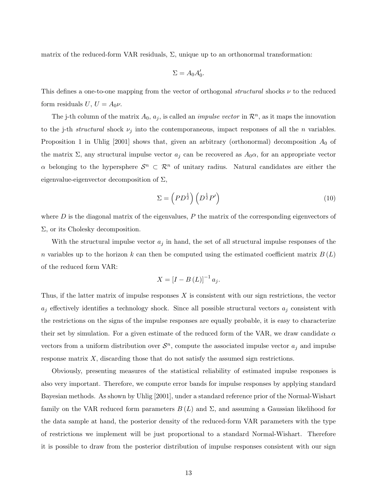matrix of the reduced-form VAR residuals,  $\Sigma$ , unique up to an orthonormal transformation:

$$
\Sigma = A_0 A'_0.
$$

This defines a one-to-one mapping from the vector of orthogonal *structural* shocks  $\nu$  to the reduced form residuals  $U, U = A_0 \nu$ .

The j-th column of the matrix  $A_0$ ,  $a_j$ , is called an *impulse vector* in  $\mathcal{R}^n$ , as it maps the innovation to the j-th *structural* shock  $\nu_i$  into the contemporaneous, impact responses of all the *n* variables. Proposition 1 in Uhlig  $[2001]$  shows that, given an arbitrary (orthonormal) decomposition  $A_0$  of the matrix  $\Sigma$ , any structural impulse vector  $a_j$  can be recovered as  $A_0\alpha$ , for an appropriate vector  $\alpha$  belonging to the hypersphere  $\mathcal{S}^n \subset \mathcal{R}^n$  of unitary radius. Natural candidates are either the eigenvalue-eigenvector decomposition of  $\Sigma$ ,

$$
\Sigma = \left( PD^{\frac{1}{2}} \right) \left( D^{\frac{1}{2}} P' \right) \tag{10}
$$

where  $D$  is the diagonal matrix of the eigenvalues,  $P$  the matrix of the corresponding eigenvectors of  $\Sigma$ , or its Cholesky decomposition.

With the structural impulse vector  $a_j$  in hand, the set of all structural impulse responses of the n variables up to the horizon k can then be computed using the estimated coefficient matrix  $B(L)$ of the reduced form VAR:

$$
X = \left[I - B\left(L\right)\right]^{-1} a_j.
$$

Thus, if the latter matrix of impulse responses  $X$  is consistent with our sign restrictions, the vector  $a_j$  effectively identifies a technology shock. Since all possible structural vectors  $a_j$  consistent with the restrictions on the signs of the impulse responses are equally probable, it is easy to characterize their set by simulation. For a given estimate of the reduced form of the VAR, we draw candidate  $\alpha$ vectors from a uniform distribution over  $\mathcal{S}^n$ , compute the associated impulse vector  $a_j$  and impulse response matrix  $X$ , discarding those that do not satisfy the assumed sign restrictions.

Obviously, presenting measures of the statistical reliability of estimated impulse responses is also very important. Therefore, we compute error bands for impulse responses by applying standard Bayesian methods. As shown by Uhlig [2001], under a standard reference prior of the Normal-Wishart family on the VAR reduced form parameters  $B(L)$  and  $\Sigma$ , and assuming a Gaussian likelihood for the data sample at hand, the posterior density of the reduced-form VAR parameters with the type of restrictions we implement will be just proportional to a standard Normal-Wishart. Therefore it is possible to draw from the posterior distribution of impulse responses consistent with our sign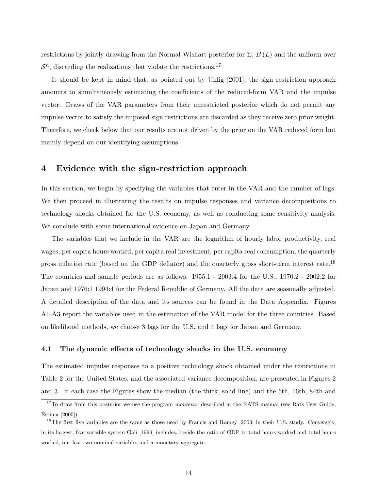restrictions by jointly drawing from the Normal-Wishart posterior for  $\Sigma$ ,  $B(L)$  and the uniform over  $S<sup>n</sup>$ , discarding the realizations that violate the restrictions.<sup>17</sup>

It should be kept in mind that, as pointed out by Uhlig [2001], the sign restriction approach amounts to simultaneously estimating the coefficients of the reduced-form VAR and the impulse vector. Draws of the VAR parameters from their unrestricted posterior which do not permit any impulse vector to satisfy the imposed sign restrictions are discarded as they receive zero prior weight. Therefore, we check below that our results are not driven by the prior on the VAR reduced form but mainly depend on our identifying assumptions.

#### 4 Evidence with the sign-restriction approach

In this section, we begin by specifying the variables that enter in the VAR and the number of lags. We then proceed in illustrating the results on impulse responses and variance decompositions to technology shocks obtained for the U.S. economy, as well as conducting some sensitivity analysis. We conclude with some international evidence on Japan and Germany.

The variables that we include in the VAR are the logarithm of hourly labor productivity, real wages, per capita hours worked, per capita real investment, per capita real consumption, the quarterly gross inflation rate (based on the GDP deflator) and the quarterly gross short-term interest rate.<sup>18</sup> The countries and sample periods are as follows: 1955:1 - 2003:4 for the U.S., 1970:2 - 2002:2 for Japan and 1976:1 1994:4 for the Federal Republic of Germany. All the data are seasonally adjusted. A detailed description of the data and its sources can be found in the Data Appendix. Figures A1-A3 report the variables used in the estimation of the VAR model for the three countries. Based on likelihood methods, we choose 3 lags for the U.S. and 4 lags for Japan and Germany.

#### 4.1 The dynamic effects of technology shocks in the U.S. economy

The estimated impulse responses to a positive technology shock obtained under the restrictions in Table 2 for the United States, and the associated variance decomposition, are presented in Figures 2 and 3. In each case the Figures show the median (the thick, solid line) and the 5th, 16th, 84th and

 $17$ To draw from this posterior we use the program *montevar* described in the RATS manual (see Rats User Guide, Estima [2000]).

 $18$ The first five variables are the same as those used by Francis and Ramey [2003] in their U.S. study. Conversely, in its largest, five variable system Galí [1999] includes, beside the ratio of GDP to total hours worked and total hours worked, our last two nominal variables and a monetary aggregate.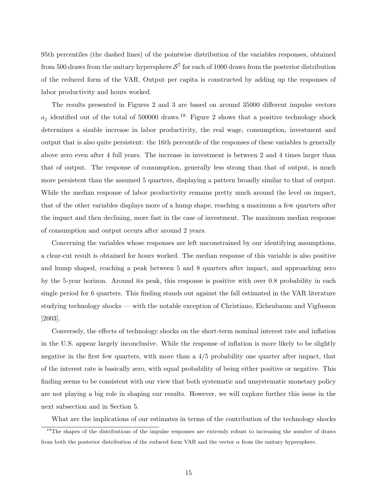95th percentiles (the dashed lines) of the pointwise distribution of the variables responses, obtained from 500 draws from the unitary hypersphere  $S^7$  for each of 1000 draws from the posterior distribution of the reduced form of the VAR. Output per capita is constructed by adding up the responses of labor productivity and hours worked.

The results presented in Figures 2 and 3 are based on around 35000 different impulse vectors  $a_i$  identified out of the total of 500000 draws.<sup>19</sup> Figure 2 shows that a positive technology shock determines a sizable increase in labor productivity, the real wage, consumption, investment and output that is also quite persistent: the 16th percentile of the responses of these variables is generally above zero even after 4 full years. The increase in investment is between 2 and 4 times larger than that of output. The response of consumption, generally less strong than that of output, is much more persistent than the assumed 5 quarters, displaying a pattern broadly similar to that of output. While the median response of labor productivity remains pretty much around the level on impact, that of the other variables displays more of a hump shape, reaching a maximum a few quarters after the impact and then declining, more fast in the case of investment. The maximum median response of consumption and output occurs after around 2 years.

Concerning the variables whose responses are left unconstrained by our identifying assumptions, a clear-cut result is obtained for hours worked. The median response of this variable is also positive and hump shaped, reaching a peak between 5 and 8 quarters after impact, and approaching zero by the 5-year horizon. Around its peak, this response is positive with over 0.8 probability in each single period for 6 quarters. This finding stands out against the fall estimated in the VAR literature studying technology shocks — with the notable exception of Christiano, Eichenbaum and Vigfusson [2003].

Conversely, the effects of technology shocks on the short-term nominal interest rate and inflation in the U.S. appear largely inconclusive. While the response of inflation is more likely to be slightly negative in the first few quarters, with more than a 4/5 probability one quarter after impact, that of the interest rate is basically zero, with equal probability of being either positive or negative. This finding seems to be consistent with our view that both systematic and unsystematic monetary policy are not playing a big role in shaping our results. However, we will explore further this issue in the next subsection and in Section 5.

What are the implications of our estimates in terms of the contribution of the technology shocks

<sup>&</sup>lt;sup>19</sup>The shapes of the distributions of the impulse responses are extremly robust to increasing the number of draws from both the posterior distribution of the reduced form VAR and the vector  $\alpha$  from the unitary hypersphere.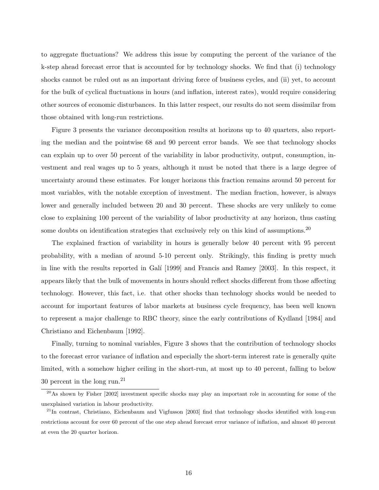to aggregate fluctuations? We address this issue by computing the percent of the variance of the k-step ahead forecast error that is accounted for by technology shocks. We find that (i) technology shocks cannot be ruled out as an important driving force of business cycles, and (ii) yet, to account for the bulk of cyclical fluctuations in hours (and inflation, interest rates), would require considering other sources of economic disturbances. In this latter respect, our results do not seem dissimilar from those obtained with long-run restrictions.

Figure 3 presents the variance decomposition results at horizons up to 40 quarters, also reporting the median and the pointwise 68 and 90 percent error bands. We see that technology shocks can explain up to over 50 percent of the variability in labor productivity, output, consumption, investment and real wages up to 5 years, although it must be noted that there is a large degree of uncertainty around these estimates. For longer horizons this fraction remains around 50 percent for most variables, with the notable exception of investment. The median fraction, however, is always lower and generally included between 20 and 30 percent. These shocks are very unlikely to come close to explaining 100 percent of the variability of labor productivity at any horizon, thus casting some doubts on identification strategies that exclusively rely on this kind of assumptions.<sup>20</sup>

The explained fraction of variability in hours is generally below 40 percent with 95 percent probability, with a median of around 5-10 percent only. Strikingly, this finding is pretty much in line with the results reported in Galí [1999] and Francis and Ramey [2003]. In this respect, it appears likely that the bulk of movements in hours should reflect shocks different from those affecting technology. However, this fact, i.e. that other shocks than technology shocks would be needed to account for important features of labor markets at business cycle frequency, has been well known to represent a major challenge to RBC theory, since the early contributions of Kydland [1984] and Christiano and Eichenbaum [1992].

Finally, turning to nominal variables, Figure 3 shows that the contribution of technology shocks to the forecast error variance of inflation and especially the short-term interest rate is generally quite limited, with a somehow higher ceiling in the short-run, at most up to 40 percent, falling to below 30 percent in the long run.<sup>21</sup>

<sup>&</sup>lt;sup>20</sup>As shown by Fisher [2002] investment specific shocks may play an important role in accounting for some of the unexplained variation in labour productivity.

 $^{21}$ In contrast, Christiano, Eichenbaum and Vigfusson [2003] find that technology shocks identified with long-run restrictions account for over 60 percent of the one step ahead forecast error variance of inflation, and almost 40 percent at even the 20 quarter horizon.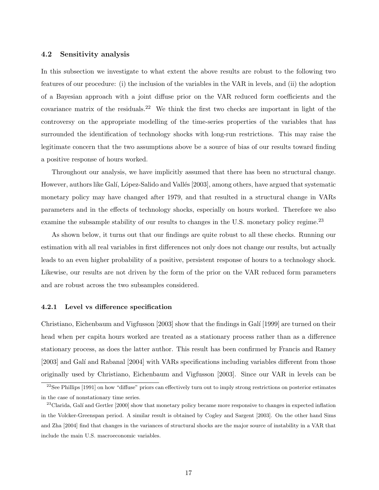#### 4.2 Sensitivity analysis

In this subsection we investigate to what extent the above results are robust to the following two features of our procedure: (i) the inclusion of the variables in the VAR in levels, and (ii) the adoption of a Bayesian approach with a joint diffuse prior on the VAR reduced form coefficients and the covariance matrix of the residuals.<sup>22</sup> We think the first two checks are important in light of the controversy on the appropriate modelling of the time-series properties of the variables that has surrounded the identification of technology shocks with long-run restrictions. This may raise the legitimate concern that the two assumptions above be a source of bias of our results toward finding a positive response of hours worked.

Throughout our analysis, we have implicitly assumed that there has been no structural change. However, authors like Galí, López-Salido and Vallés [2003], among others, have argued that systematic monetary policy may have changed after 1979, and that resulted in a structural change in VARs parameters and in the effects of technology shocks, especially on hours worked. Therefore we also examine the subsample stability of our results to changes in the U.S. monetary policy regime.<sup>23</sup>

As shown below, it turns out that our findings are quite robust to all these checks. Running our estimation with all real variables in first differences not only does not change our results, but actually leads to an even higher probability of a positive, persistent response of hours to a technology shock. Likewise, our results are not driven by the form of the prior on the VAR reduced form parameters and are robust across the two subsamples considered.

#### 4.2.1 Level vs difference specification

Christiano, Eichenbaum and Vigfusson [2003] show that the findings in Galí [1999] are turned on their head when per capita hours worked are treated as a stationary process rather than as a difference stationary process, as does the latter author. This result has been confirmed by Francis and Ramey [2003] and Galí and Rabanal [2004] with VARs specifications including variables different from those originally used by Christiano, Eichenbaum and Vigfusson [2003]. Since our VAR in levels can be

 $22$ See Phillips [1991] on how "diffuse" priors can effectively turn out to imply strong restrictions on posterior estimates in the case of nonstationary time series.

<sup>&</sup>lt;sup>23</sup>Clarida, Galí and Gertler [2000] show that monetary policy became more responsive to changes in expected inflation in the Volcker-Greenspan period. A similar result is obtained by Cogley and Sargent [2003]. On the other hand Sims and Zha [2004] find that changes in the variances of structural shocks are the major source of instability in a VAR that include the main U.S. macroeconomic variables.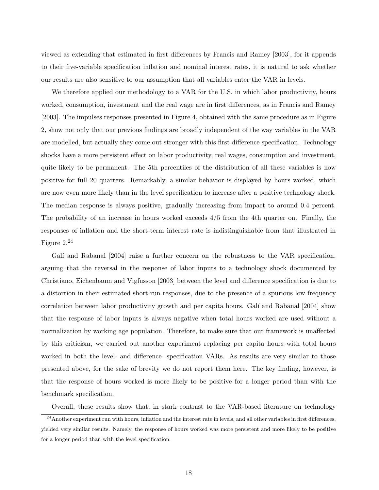viewed as extending that estimated in first differences by Francis and Ramey [2003], for it appends to their five-variable specification inflation and nominal interest rates, it is natural to ask whether our results are also sensitive to our assumption that all variables enter the VAR in levels.

We therefore applied our methodology to a VAR for the U.S. in which labor productivity, hours worked, consumption, investment and the real wage are in first differences, as in Francis and Ramey [2003]. The impulses responses presented in Figure 4, obtained with the same procedure as in Figure 2, show not only that our previous findings are broadly independent of the way variables in the VAR are modelled, but actually they come out stronger with this first difference specification. Technology shocks have a more persistent effect on labor productivity, real wages, consumption and investment, quite likely to be permanent. The 5th percentiles of the distribution of all these variables is now positive for full 20 quarters. Remarkably, a similar behavior is displayed by hours worked, which are now even more likely than in the level specification to increase after a positive technology shock. The median response is always positive, gradually increasing from impact to around 0.4 percent. The probability of an increase in hours worked exceeds 4/5 from the 4th quarter on. Finally, the responses of inflation and the short-term interest rate is indistinguishable from that illustrated in Figure 2.<sup>24</sup>

Galí and Rabanal [2004] raise a further concern on the robustness to the VAR specification, arguing that the reversal in the response of labor inputs to a technology shock documented by Christiano, Eichenbaum and Vigfusson [2003] between the level and difference specification is due to a distortion in their estimated short-run responses, due to the presence of a spurious low frequency correlation between labor productivity growth and per capita hours. Galí and Rabanal [2004] show that the response of labor inputs is always negative when total hours worked are used without a normalization by working age population. Therefore, to make sure that our framework is unaffected by this criticism, we carried out another experiment replacing per capita hours with total hours worked in both the level- and difference- specification VARs. As results are very similar to those presented above, for the sake of brevity we do not report them here. The key finding, however, is that the response of hours worked is more likely to be positive for a longer period than with the benchmark specification.

Overall, these results show that, in stark contrast to the VAR-based literature on technology

<sup>&</sup>lt;sup>24</sup> Another experiment run with hours, inflation and the interest rate in levels, and all other variables in first differences, yielded very similar results. Namely, the response of hours worked was more persistent and more likely to be positive for a longer period than with the level specification.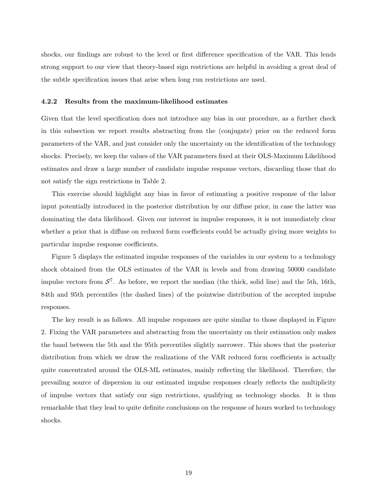shocks, our findings are robust to the level or first difference specification of the VAR. This lends strong support to our view that theory-based sign restrictions are helpful in avoiding a great deal of the subtle specification issues that arise when long run restrictions are used.

#### 4.2.2 Results from the maximum-likelihood estimates

Given that the level specification does not introduce any bias in our procedure, as a further check in this subsection we report results abstracting from the (conjugate) prior on the reduced form parameters of the VAR, and just consider only the uncertainty on the identification of the technology shocks. Precisely, we keep the values of the VAR parameters fixed at their OLS-Maximum Likelihood estimates and draw a large number of candidate impulse response vectors, discarding those that do not satisfy the sign restrictions in Table 2.

This exercise should highlight any bias in favor of estimating a positive response of the labor input potentially introduced in the posterior distribution by our diffuse prior, in case the latter was dominating the data likelihood. Given our interest in impulse responses, it is not immediately clear whether a prior that is diffuse on reduced form coefficients could be actually giving more weights to particular impulse response coefficients.

Figure 5 displays the estimated impulse responses of the variables in our system to a technology shock obtained from the OLS estimates of the VAR in levels and from drawing 50000 candidate impulse vectors from  $S^7$ . As before, we report the median (the thick, solid line) and the 5th, 16th, 84th and 95th percentiles (the dashed lines) of the pointwise distribution of the accepted impulse responses.

The key result is as follows. All impulse responses are quite similar to those displayed in Figure 2. Fixing the VAR parameters and abstracting from the uncertainty on their estimation only makes the band between the 5th and the 95th percentiles slightly narrower. This shows that the posterior distribution from which we draw the realizations of the VAR reduced form coefficients is actually quite concentrated around the OLS-ML estimates, mainly reflecting the likelihood. Therefore, the prevailing source of dispersion in our estimated impulse responses clearly reflects the multiplicity of impulse vectors that satisfy our sign restrictions, qualifying as technology shocks. It is thus remarkable that they lead to quite definite conclusions on the response of hours worked to technology shocks.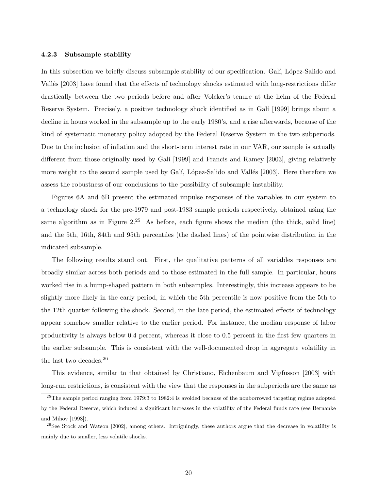#### 4.2.3 Subsample stability

In this subsection we briefly discuss subsample stability of our specification. Galí, López-Salido and Vallés [2003] have found that the effects of technology shocks estimated with long-restrictions differ drastically between the two periods before and after Volcker's tenure at the helm of the Federal Reserve System. Precisely, a positive technology shock identified as in Galí [1999] brings about a decline in hours worked in the subsample up to the early 1980's, and a rise afterwards, because of the kind of systematic monetary policy adopted by the Federal Reserve System in the two subperiods. Due to the inclusion of inflation and the short-term interest rate in our VAR, our sample is actually different from those originally used by Galí [1999] and Francis and Ramey [2003], giving relatively more weight to the second sample used by Galí, López-Salido and Vallés [2003]. Here therefore we assess the robustness of our conclusions to the possibility of subsample instability.

Figures 6A and 6B present the estimated impulse responses of the variables in our system to a technology shock for the pre-1979 and post-1983 sample periods respectively, obtained using the same algorithm as in Figure  $2.25$  As before, each figure shows the median (the thick, solid line) and the 5th, 16th, 84th and 95th percentiles (the dashed lines) of the pointwise distribution in the indicated subsample.

The following results stand out. First, the qualitative patterns of all variables responses are broadly similar across both periods and to those estimated in the full sample. In particular, hours worked rise in a hump-shaped pattern in both subsamples. Interestingly, this increase appears to be slightly more likely in the early period, in which the 5th percentile is now positive from the 5th to the 12th quarter following the shock. Second, in the late period, the estimated effects of technology appear somehow smaller relative to the earlier period. For instance, the median response of labor productivity is always below 0.4 percent, whereas it close to 0.5 percent in the first few quarters in the earlier subsample. This is consistent with the well-documented drop in aggregate volatility in the last two decades.<sup>26</sup>

This evidence, similar to that obtained by Christiano, Eichenbaum and Vigfusson [2003] with long-run restrictions, is consistent with the view that the responses in the subperiods are the same as

 $^{25}$ The sample period ranging from 1979:3 to 1982:4 is avoided because of the nonborrowed targeting regime adopted by the Federal Reserve, which induced a significant increases in the volatility of the Federal funds rate (see Bernanke and Mihov [1998]).

<sup>&</sup>lt;sup>26</sup>See Stock and Watson [2002], among others. Intriguingly, these authors argue that the decrease in volatility is mainly due to smaller, less volatile shocks.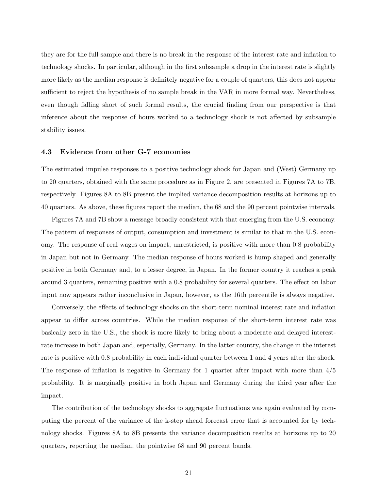they are for the full sample and there is no break in the response of the interest rate and inflation to technology shocks. In particular, although in the first subsample a drop in the interest rate is slightly more likely as the median response is definitely negative for a couple of quarters, this does not appear sufficient to reject the hypothesis of no sample break in the VAR in more formal way. Nevertheless, even though falling short of such formal results, the crucial finding from our perspective is that inference about the response of hours worked to a technology shock is not affected by subsample stability issues.

#### 4.3 Evidence from other G-7 economies

The estimated impulse responses to a positive technology shock for Japan and (West) Germany up to 20 quarters, obtained with the same procedure as in Figure 2, are presented in Figures 7A to 7B, respectively. Figures 8A to 8B present the implied variance decomposition results at horizons up to 40 quarters. As above, these figures report the median, the 68 and the 90 percent pointwise intervals.

Figures 7A and 7B show a message broadly consistent with that emerging from the U.S. economy. The pattern of responses of output, consumption and investment is similar to that in the U.S. economy. The response of real wages on impact, unrestricted, is positive with more than 0.8 probability in Japan but not in Germany. The median response of hours worked is hump shaped and generally positive in both Germany and, to a lesser degree, in Japan. In the former country it reaches a peak around 3 quarters, remaining positive with a 0.8 probability for several quarters. The effect on labor input now appears rather inconclusive in Japan, however, as the 16th percentile is always negative.

Conversely, the effects of technology shocks on the short-term nominal interest rate and inflation appear to differ across countries. While the median response of the short-term interest rate was basically zero in the U.S., the shock is more likely to bring about a moderate and delayed interestrate increase in both Japan and, especially, Germany. In the latter country, the change in the interest rate is positive with 0.8 probability in each individual quarter between 1 and 4 years after the shock. The response of inflation is negative in Germany for 1 quarter after impact with more than 4/5 probability. It is marginally positive in both Japan and Germany during the third year after the impact.

The contribution of the technology shocks to aggregate fluctuations was again evaluated by computing the percent of the variance of the k-step ahead forecast error that is accounted for by technology shocks. Figures 8A to 8B presents the variance decomposition results at horizons up to 20 quarters, reporting the median, the pointwise 68 and 90 percent bands.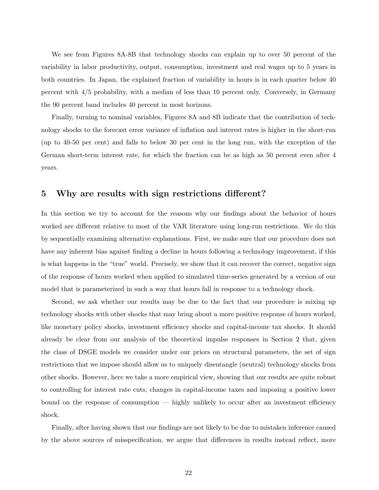We see from Figures 8A-8B that technology shocks can explain up to over 50 percent of the variability in labor productivity, output, consumption, investment and real wages up to 5 years in both countries. In Japan, the explained fraction of variability in hours is in each quarter below 40 percent with 4/5 probability, with a median of less than 10 percent only. Conversely, in Germany the 90 percent band includes 40 percent in most horizons.

Finally, turning to nominal variables, Figures 8A and 8B indicate that the contribution of technology shocks to the forecast error variance of inflation and interest rates is higher in the short-run (up to 40-50 per cent) and falls to below 30 per cent in the long run, with the exception of the German short-term interest rate, for which the fraction can be as high as 50 percent even after 4 years.

#### 5 Why are results with sign restrictions different?

In this section we try to account for the reasons why our findings about the behavior of hours worked are different relative to most of the VAR literature using long-run restrictions. We do this by sequentially examining alternative explanations. First, we make sure that our procedure does not have any inherent bias against finding a decline in hours following a technology improvement, if this is what happens in the "true" world. Precisely, we show that it can recover the correct, negative sign of the response of hours worked when applied to simulated time-series generated by a version of our model that is parameterized in such a way that hours fall in response to a technology shock.

Second, we ask whether our results may be due to the fact that our procedure is mixing up technology shocks with other shocks that may bring about a more positive response of hours worked, like monetary policy shocks, investment efficiency shocks and capital-income tax shocks. It should already be clear from our analysis of the theoretical impulse responses in Section 2 that, given the class of DSGE models we consider under our priors on structural parameters, the set of sign restrictions that we impose should allow us to uniquely disentangle (neutral) technology shocks from other shocks. However, here we take a more empirical view, showing that our results are quite robust to controlling for interest rate cuts, changes in capital-income taxes and imposing a positive lower bound on the response of consumption — highly unlikely to occur after an investment efficiency shock.

Finally, after having shown that our findings are not likely to be due to mistaken inference caused by the above sources of misspecification, we argue that differences in results instead reflect, more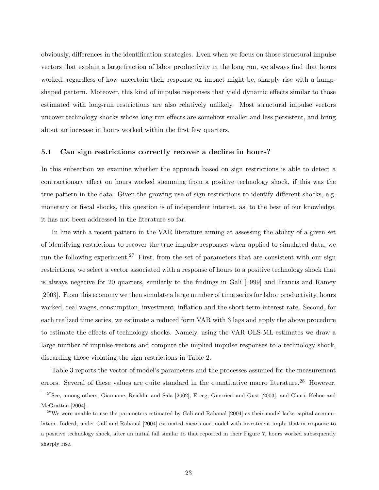obviously, differences in the identification strategies. Even when we focus on those structural impulse vectors that explain a large fraction of labor productivity in the long run, we always find that hours worked, regardless of how uncertain their response on impact might be, sharply rise with a humpshaped pattern. Moreover, this kind of impulse responses that yield dynamic effects similar to those estimated with long-run restrictions are also relatively unlikely. Most structural impulse vectors uncover technology shocks whose long run effects are somehow smaller and less persistent, and bring about an increase in hours worked within the first few quarters.

#### 5.1 Can sign restrictions correctly recover a decline in hours?

In this subsection we examine whether the approach based on sign restrictions is able to detect a contractionary effect on hours worked stemming from a positive technology shock, if this was the true pattern in the data. Given the growing use of sign restrictions to identify different shocks, e.g. monetary or fiscal shocks, this question is of independent interest, as, to the best of our knowledge, it has not been addressed in the literature so far.

In line with a recent pattern in the VAR literature aiming at assessing the ability of a given set of identifying restrictions to recover the true impulse responses when applied to simulated data, we run the following experiment.<sup>27</sup> First, from the set of parameters that are consistent with our sign restrictions, we select a vector associated with a response of hours to a positive technology shock that is always negative for 20 quarters, similarly to the findings in Galí [1999] and Francis and Ramey [2003]. From this economy we then simulate a large number of time series for labor productivity, hours worked, real wages, consumption, investment, inflation and the short-term interest rate. Second, for each realized time series, we estimate a reduced form VAR with 3 lags and apply the above procedure to estimate the effects of technology shocks. Namely, using the VAR OLS-ML estimates we draw a large number of impulse vectors and compute the implied impulse responses to a technology shock, discarding those violating the sign restrictions in Table 2.

Table 3 reports the vector of model's parameters and the processes assumed for the measurement errors. Several of these values are quite standard in the quantitative macro literature.<sup>28</sup> However,

 $27$ See, among others, Giannone, Reichlin and Sala [2002], Erceg, Guerrieri and Gust [2003], and Chari, Kehoe and McGrattan [2004].

<sup>&</sup>lt;sup>28</sup>We were unable to use the parameters estimated by Galí and Rabanal  $[2004]$  as their model lacks capital accumulation. Indeed, under Galí and Rabanal [2004] estimated means our model with investment imply that in response to a positive technology shock, after an initial fall similar to that reported in their Figure 7, hours worked subsequently sharply rise.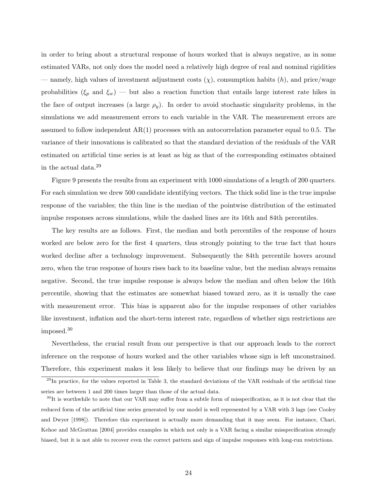in order to bring about a structural response of hours worked that is always negative, as in some estimated VARs, not only does the model need a relatively high degree of real and nominal rigidities — namely, high values of investment adjustment costs  $(\chi)$ , consumption habits  $(h)$ , and price/wage probabilities ( $\xi_p$  and  $\xi_w$ ) — but also a reaction function that entails large interest rate hikes in the face of output increases (a large  $\rho_y$ ). In order to avoid stochastic singularity problems, in the simulations we add measurement errors to each variable in the VAR. The measurement errors are assumed to follow independent  $AR(1)$  processes with an autocorrelation parameter equal to 0.5. The variance of their innovations is calibrated so that the standard deviation of the residuals of the VAR estimated on artificial time series is at least as big as that of the corresponding estimates obtained in the actual data.<sup>29</sup>

Figure 9 presents the results from an experiment with 1000 simulations of a length of 200 quarters. For each simulation we drew 500 candidate identifying vectors. The thick solid line is the true impulse response of the variables; the thin line is the median of the pointwise distribution of the estimated impulse responses across simulations, while the dashed lines are its 16th and 84th percentiles.

The key results are as follows. First, the median and both percentiles of the response of hours worked are below zero for the first 4 quarters, thus strongly pointing to the true fact that hours worked decline after a technology improvement. Subsequently the 84th percentile hovers around zero, when the true response of hours rises back to its baseline value, but the median always remains negative. Second, the true impulse response is always below the median and often below the 16th percentile, showing that the estimates are somewhat biased toward zero, as it is usually the case with measurement error. This bias is apparent also for the impulse responses of other variables like investment, inflation and the short-term interest rate, regardless of whether sign restrictions are imposed.<sup>30</sup>

Nevertheless, the crucial result from our perspective is that our approach leads to the correct inference on the response of hours worked and the other variables whose sign is left unconstrained. Therefore, this experiment makes it less likely to believe that our findings may be driven by an

 $^{29}$ In practice, for the values reported in Table 3, the standard deviations of the VAR residuals of the artificial time series are between 1 and 200 times larger than those of the actual data.

 $30$ It is worthwhile to note that our VAR may suffer from a subtle form of misspecification, as it is not clear that the reduced form of the artificial time series generated by our model is well represented by a VAR with 3 lags (see Cooley and Dwyer [1998]). Therefore this experiment is actually more demanding that it may seem. For instance, Chari, Kehoe and McGrattan [2004] provides examples in which not only is a VAR facing a similar misspecification strongly biased, but it is not able to recover even the correct pattern and sign of impulse responses with long-run restrictions.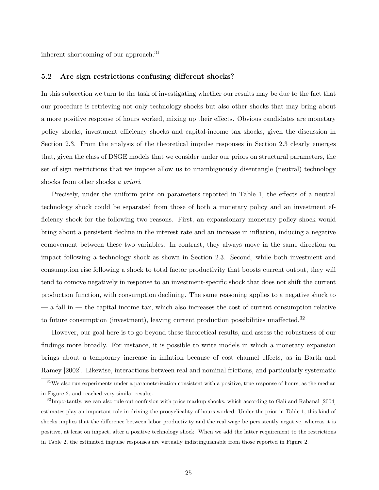inherent shortcoming of our approach.<sup>31</sup>

#### 5.2 Are sign restrictions confusing different shocks?

In this subsection we turn to the task of investigating whether our results may be due to the fact that our procedure is retrieving not only technology shocks but also other shocks that may bring about a more positive response of hours worked, mixing up their effects. Obvious candidates are monetary policy shocks, investment efficiency shocks and capital-income tax shocks, given the discussion in Section 2.3. From the analysis of the theoretical impulse responses in Section 2.3 clearly emerges that, given the class of DSGE models that we consider under our priors on structural parameters, the set of sign restrictions that we impose allow us to unambiguously disentangle (neutral) technology shocks from other shocks a priori.

Precisely, under the uniform prior on parameters reported in Table 1, the effects of a neutral technology shock could be separated from those of both a monetary policy and an investment efficiency shock for the following two reasons. First, an expansionary monetary policy shock would bring about a persistent decline in the interest rate and an increase in inflation, inducing a negative comovement between these two variables. In contrast, they always move in the same direction on impact following a technology shock as shown in Section 2.3. Second, while both investment and consumption rise following a shock to total factor productivity that boosts current output, they will tend to comove negatively in response to an investment-specific shock that does not shift the current production function, with consumption declining. The same reasoning applies to a negative shock to — a fall in — the capital-income tax, which also increases the cost of current consumption relative to future consumption (investment), leaving current production possibilities unaffected.<sup>32</sup>

However, our goal here is to go beyond these theoretical results, and assess the robustness of our findings more broadly. For instance, it is possible to write models in which a monetary expansion brings about a temporary increase in inflation because of cost channel effects, as in Barth and Ramey [2002]. Likewise, interactions between real and nominal frictions, and particularly systematic

<sup>&</sup>lt;sup>31</sup>We also run experiments under a parameterization consistent with a positive, true response of hours, as the median in Figure 2, and reached very similar results.

 $32$ Importantly, we can also rule out confusion with price markup shocks, which according to Galí and Rabanal [2004] estimates play an important role in driving the procyclicality of hours worked. Under the prior in Table 1, this kind of shocks implies that the difference between labor productivity and the real wage be persistently negative, whereas it is positive, at least on impact, after a positive technology shock. When we add the latter requirement to the restrictions in Table 2, the estimated impulse responses are virtually indistinguishable from those reported in Figure 2.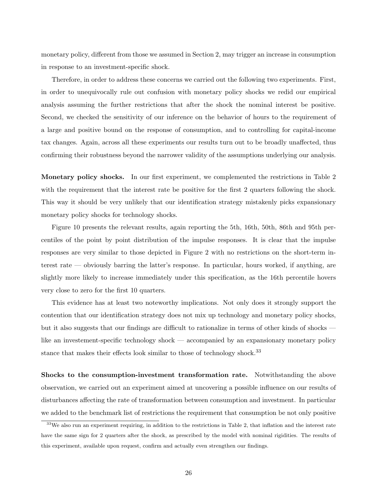monetary policy, different from those we assumed in Section 2, may trigger an increase in consumption in response to an investment-specific shock.

Therefore, in order to address these concerns we carried out the following two experiments. First, in order to unequivocally rule out confusion with monetary policy shocks we redid our empirical analysis assuming the further restrictions that after the shock the nominal interest be positive. Second, we checked the sensitivity of our inference on the behavior of hours to the requirement of a large and positive bound on the response of consumption, and to controlling for capital-income tax changes. Again, across all these experiments our results turn out to be broadly unaffected, thus confirming their robustness beyond the narrower validity of the assumptions underlying our analysis.

Monetary policy shocks. In our first experiment, we complemented the restrictions in Table 2 with the requirement that the interest rate be positive for the first 2 quarters following the shock. This way it should be very unlikely that our identification strategy mistakenly picks expansionary monetary policy shocks for technology shocks.

Figure 10 presents the relevant results, again reporting the 5th, 16th, 50th, 86th and 95th percentiles of the point by point distribution of the impulse responses. It is clear that the impulse responses are very similar to those depicted in Figure 2 with no restrictions on the short-term interest rate — obviously barring the latter's response. In particular, hours worked, if anything, are slightly more likely to increase immediately under this specification, as the 16th percentile hovers very close to zero for the first 10 quarters.

This evidence has at least two noteworthy implications. Not only does it strongly support the contention that our identification strategy does not mix up technology and monetary policy shocks, but it also suggests that our findings are difficult to rationalize in terms of other kinds of shocks like an investement-specific technology shock — accompanied by an expansionary monetary policy stance that makes their effects look similar to those of technology shock.<sup>33</sup>

Shocks to the consumption-investment transformation rate. Notwithstanding the above observation, we carried out an experiment aimed at uncovering a possible influence on our results of disturbances affecting the rate of transformation between consumption and investment. In particular we added to the benchmark list of restrictions the requirement that consumption be not only positive

<sup>&</sup>lt;sup>33</sup>We also run an experiment requiring, in addition to the restrictions in Table 2, that inflation and the interest rate have the same sign for 2 quarters after the shock, as prescribed by the model with nominal rigidities. The results of this experiment, available upon request, confirm and actually even strengthen our findings.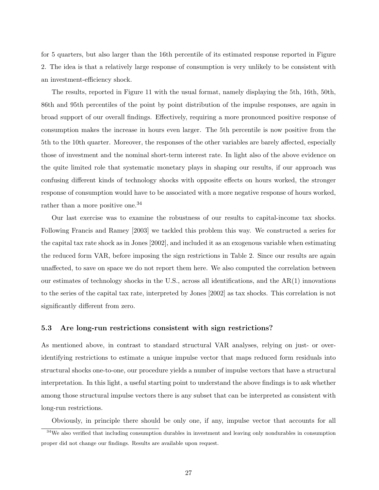for 5 quarters, but also larger than the 16th percentile of its estimated response reported in Figure 2. The idea is that a relatively large response of consumption is very unlikely to be consistent with an investment-efficiency shock.

The results, reported in Figure 11 with the usual format, namely displaying the 5th, 16th, 50th, 86th and 95th percentiles of the point by point distribution of the impulse responses, are again in broad support of our overall findings. Effectively, requiring a more pronounced positive response of consumption makes the increase in hours even larger. The 5th percentile is now positive from the 5th to the 10th quarter. Moreover, the responses of the other variables are barely affected, especially those of investment and the nominal short-term interest rate. In light also of the above evidence on the quite limited role that systematic monetary plays in shaping our results, if our approach was confusing different kinds of technology shocks with opposite effects on hours worked, the stronger response of consumption would have to be associated with a more negative response of hours worked, rather than a more positive one.<sup>34</sup>

Our last exercise was to examine the robustness of our results to capital-income tax shocks. Following Francis and Ramey [2003] we tackled this problem this way. We constructed a series for the capital tax rate shock as in Jones [2002], and included it as an exogenous variable when estimating the reduced form VAR, before imposing the sign restrictions in Table 2. Since our results are again unaffected, to save on space we do not report them here. We also computed the correlation between our estimates of technology shocks in the U.S., across all identifications, and the AR(1) innovations to the series of the capital tax rate, interpreted by Jones [2002] as tax shocks. This correlation is not significantly different from zero.

#### 5.3 Are long-run restrictions consistent with sign restrictions?

As mentioned above, in contrast to standard structural VAR analyses, relying on just- or overidentifying restrictions to estimate a unique impulse vector that maps reduced form residuals into structural shocks one-to-one, our procedure yields a number of impulse vectors that have a structural interpretation. In this light, a useful starting point to understand the above findings is to ask whether among those structural impulse vectors there is any subset that can be interpreted as consistent with long-run restrictions.

Obviously, in principle there should be only one, if any, impulse vector that accounts for all

<sup>&</sup>lt;sup>34</sup>We also verified that including consumption durables in investment and leaving only nondurables in consumption proper did not change our findings. Results are available upon request.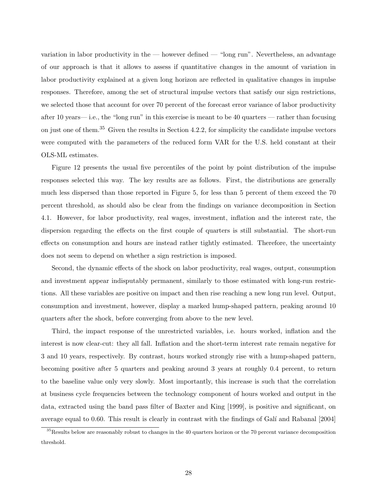variation in labor productivity in the — however defined — "long run". Nevertheless, an advantage of our approach is that it allows to assess if quantitative changes in the amount of variation in labor productivity explained at a given long horizon are reflected in qualitative changes in impulse responses. Therefore, among the set of structural impulse vectors that satisfy our sign restrictions, we selected those that account for over 70 percent of the forecast error variance of labor productivity after 10 years— i.e., the "long run" in this exercise is meant to be 40 quarters — rather than focusing on just one of them.<sup>35</sup> Given the results in Section 4.2.2, for simplicity the candidate impulse vectors were computed with the parameters of the reduced form VAR for the U.S. held constant at their OLS-ML estimates.

Figure 12 presents the usual five percentiles of the point by point distribution of the impulse responses selected this way. The key results are as follows. First, the distributions are generally much less dispersed than those reported in Figure 5, for less than 5 percent of them exceed the 70 percent threshold, as should also be clear from the findings on variance decomposition in Section 4.1. However, for labor productivity, real wages, investment, inflation and the interest rate, the dispersion regarding the effects on the first couple of quarters is still substantial. The short-run effects on consumption and hours are instead rather tightly estimated. Therefore, the uncertainty does not seem to depend on whether a sign restriction is imposed.

Second, the dynamic effects of the shock on labor productivity, real wages, output, consumption and investment appear indisputably permanent, similarly to those estimated with long-run restrictions. All these variables are positive on impact and then rise reaching a new long run level. Output, consumption and investment, however, display a marked hump-shaped pattern, peaking around 10 quarters after the shock, before converging from above to the new level.

Third, the impact response of the unrestricted variables, i.e. hours worked, inflation and the interest is now clear-cut: they all fall. Inflation and the short-term interest rate remain negative for 3 and 10 years, respectively. By contrast, hours worked strongly rise with a hump-shaped pattern, becoming positive after 5 quarters and peaking around 3 years at roughly 0.4 percent, to return to the baseline value only very slowly. Most importantly, this increase is such that the correlation at business cycle frequencies between the technology component of hours worked and output in the data, extracted using the band pass filter of Baxter and King [1999], is positive and significant, on average equal to 0.60. This result is clearly in contrast with the findings of Galí and Rabanal [2004]

<sup>&</sup>lt;sup>35</sup>Results below are reasonably robust to changes in the 40 quarters horizon or the 70 percent variance decomposition threshold.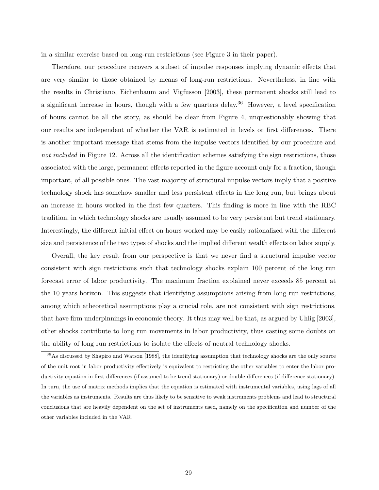in a similar exercise based on long-run restrictions (see Figure 3 in their paper).

Therefore, our procedure recovers a subset of impulse responses implying dynamic effects that are very similar to those obtained by means of long-run restrictions. Nevertheless, in line with the results in Christiano, Eichenbaum and Vigfusson [2003], these permanent shocks still lead to a significant increase in hours, though with a few quarters delay.<sup>36</sup> However, a level specification of hours cannot be all the story, as should be clear from Figure 4, unquestionably showing that our results are independent of whether the VAR is estimated in levels or first differences. There is another important message that stems from the impulse vectors identified by our procedure and not included in Figure 12. Across all the identification schemes satisfying the sign restrictions, those associated with the large, permanent effects reported in the figure account only for a fraction, though important, of all possible ones. The vast majority of structural impulse vectors imply that a positive technology shock has somehow smaller and less persistent effects in the long run, but brings about an increase in hours worked in the first few quarters. This finding is more in line with the RBC tradition, in which technology shocks are usually assumed to be very persistent but trend stationary. Interestingly, the different initial effect on hours worked may be easily rationalized with the different size and persistence of the two types of shocks and the implied different wealth effects on labor supply.

Overall, the key result from our perspective is that we never find a structural impulse vector consistent with sign restrictions such that technology shocks explain 100 percent of the long run forecast error of labor productivity. The maximum fraction explained never exceeds 85 percent at the 10 years horizon. This suggests that identifying assumptions arising from long run restrictions, among which atheoretical assumptions play a crucial role, are not consistent with sign restrictions, that have firm underpinnings in economic theory. It thus may well be that, as argued by Uhlig [2003], other shocks contribute to long run movements in labor productivity, thus casting some doubts on the ability of long run restrictions to isolate the effects of neutral technology shocks.

<sup>&</sup>lt;sup>36</sup>As discussed by Shapiro and Watson [1988], the identifying assumption that technology shocks are the only source of the unit root in labor productivity effectively is equivalent to restricting the other variables to enter the labor productivity equation in first-differences (if assumed to be trend stationary) or double-differences (if difference stationary). In turn, the use of matrix methods implies that the equation is estimated with instrumental variables, using lags of all the variables as instruments. Results are thus likely to be sensitive to weak instruments problems and lead to structural conclusions that are heavily dependent on the set of instruments used, namely on the specification and number of the other variables included in the VAR.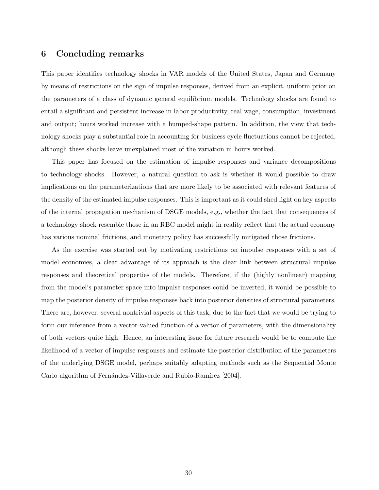#### 6 Concluding remarks

This paper identifies technology shocks in VAR models of the United States, Japan and Germany by means of restrictions on the sign of impulse responses, derived from an explicit, uniform prior on the parameters of a class of dynamic general equilibrium models. Technology shocks are found to entail a significant and persistent increase in labor productivity, real wage, consumption, investment and output; hours worked increase with a humped-shape pattern. In addition, the view that technology shocks play a substantial role in accounting for business cycle fluctuations cannot be rejected, although these shocks leave unexplained most of the variation in hours worked.

This paper has focused on the estimation of impulse responses and variance decompositions to technology shocks. However, a natural question to ask is whether it would possible to draw implications on the parameterizations that are more likely to be associated with relevant features of the density of the estimated impulse responses. This is important as it could shed light on key aspects of the internal propagation mechanism of DSGE models, e.g., whether the fact that consequences of a technology shock resemble those in an RBC model might in reality reflect that the actual economy has various nominal frictions, and monetary policy has successfully mitigated those frictions.

As the exercise was started out by motivating restrictions on impulse responses with a set of model economies, a clear advantage of its approach is the clear link between structural impulse responses and theoretical properties of the models. Therefore, if the (highly nonlinear) mapping from the model's parameter space into impulse responses could be inverted, it would be possible to map the posterior density of impulse responses back into posterior densities of structural parameters. There are, however, several nontrivial aspects of this task, due to the fact that we would be trying to form our inference from a vector-valued function of a vector of parameters, with the dimensionality of both vectors quite high. Hence, an interesting issue for future research would be to compute the likelihood of a vector of impulse responses and estimate the posterior distribution of the parameters of the underlying DSGE model, perhaps suitably adapting methods such as the Sequential Monte Carlo algorithm of Fernández-Villaverde and Rubio-Ramírez [2004].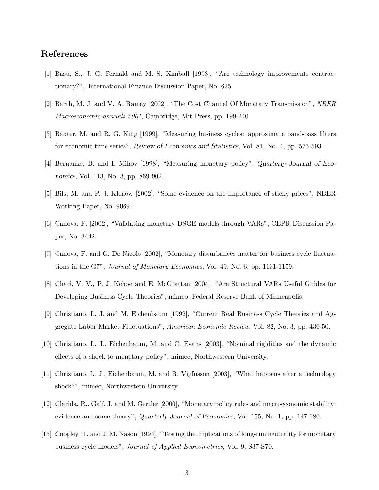#### References

- [1] Basu, S., J. G. Fernald and M. S. Kimball [1998], "Are technology improvements contractionary?", International Finance Discussion Paper, No. 625.
- [2] Barth, M. J. and V. A. Ramey [2002], "The Cost Channel Of Monetary Transmission", NBER Macroeconomic annuals 2001, Cambridge, Mit Press, pp. 199-240
- [3] Baxter, M. and R. G. King [1999], "Measuring business cycles: approximate band-pass filters for economic time series", Review of Economics and Statistics, Vol. 81, No. 4, pp. 575-593.
- [4] Bernanke, B. and I. Mihov [1998], "Measuring monetary policy", Quarterly Journal of Economics, Vol. 113, No. 3, pp. 869-902.
- [5] Bils, M. and P. J. Klenow [2002], "Some evidence on the importance of sticky prices", NBER Working Paper, No. 9069.
- [6] Canova, F. [2002], "Validating monetary DSGE models through VARs", CEPR Discussion Paper, No. 3442.
- [7] Canova, F. and G. De Nicoló [2002], "Monetary disturbances matter for business cycle fluctuations in the G7", Journal of Monetary Economics, Vol. 49, No. 6, pp. 1131-1159.
- [8] Chari, V. V., P. J. Kehoe and E. McGrattan [2004], "Are Structural VARs Useful Guides for Developing Business Cycle Theories", mimeo, Federal Reserve Bank of Minneapolis.
- [9] Christiano, L. J. and M. Eichenbaum [1992], "Current Real Business Cycle Theories and Aggregate Labor Market Fluctuations", American Economic Review, Vol. 82, No. 3, pp. 430-50.
- [10] Christiano, L. J., Eichenbaum, M. and C. Evans [2003], "Nominal rigidities and the dynamic effects of a shock to monetary policy", mimeo, Northwestern University.
- [11] Christiano, L. J., Eichenbaum, M. and R. Vigfusson [2003], "What happens after a technology shock?", mimeo, Northwestern University.
- [12] Clarida, R., Galí, J. and M. Gertler [2000], "Monetary policy rules and macroeconomic stability: evidence and some theory", Quarterly Journal of Economics, Vol. 155, No. 1, pp. 147-180.
- [13] Coogley, T. and J. M. Nason [1994], "Testing the implications of long-run neutrality for monetary business cycle models", Journal of Applied Econometrics, Vol. 9, S37-S70.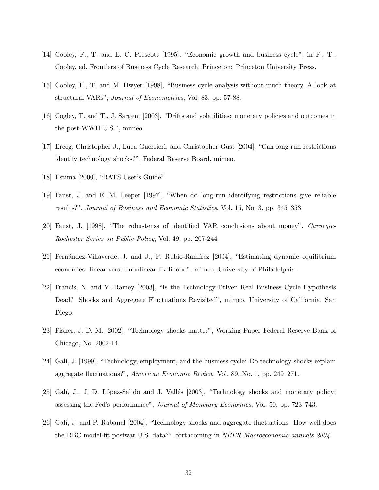- [14] Cooley, F., T. and E. C. Prescott [1995], "Economic growth and business cycle", in F., T., Cooley, ed. Frontiers of Business Cycle Research, Princeton: Princeton University Press.
- [15] Cooley, F., T. and M. Dwyer [1998], "Business cycle analysis without much theory. A look at structural VARs", Journal of Econometrics, Vol. 83, pp. 57-88.
- [16] Cogley, T. and T., J. Sargent [2003], "Drifts and volatilities: monetary policies and outcomes in the post-WWII U.S.", mimeo.
- [17] Erceg, Christopher J., Luca Guerrieri, and Christopher Gust [2004], "Can long run restrictions identify technology shocks?", Federal Reserve Board, mimeo.
- [18] Estima [2000], "RATS User's Guide".
- [19] Faust, J. and E. M. Leeper [1997], "When do long-run identifying restrictions give reliable results?", Journal of Business and Economic Statistics, Vol. 15, No. 3, pp. 345–353.
- [20] Faust, J. [1998], "The robustenss of identified VAR conclusions about money", Carnegie-Rochester Series on Public Policy, Vol. 49, pp. 207-244
- [21] Fernández-Villaverde, J. and J., F. Rubio-Ramírez [2004], "Estimating dynamic equilibrium economies: linear versus nonlinear likelihood", mimeo, University of Philadelphia.
- [22] Francis, N. and V. Ramey [2003], "Is the Technology-Driven Real Business Cycle Hypothesis Dead? Shocks and Aggregate Fluctuations Revisited", mimeo, University of California, San Diego.
- [23] Fisher, J. D. M. [2002], "Technology shocks matter", Working Paper Federal Reserve Bank of Chicago, No. 2002-14.
- [24] Galí, J. [1999], "Technology, employment, and the business cycle: Do technology shocks explain aggregate fluctuations?", American Economic Review, Vol. 89, No. 1, pp. 249–271.
- [25] Galí, J., J. D. López-Salido and J. Vallés [2003], "Technology shocks and monetary policy: assessing the Fed's performance", Journal of Monetary Economics, Vol. 50, pp. 723–743.
- [26] Gal´ı, J. and P. Rabanal [2004], "Technology shocks and aggregate fluctuations: How well does the RBC model fit postwar U.S. data?", forthcoming in NBER Macroeconomic annuals 2004.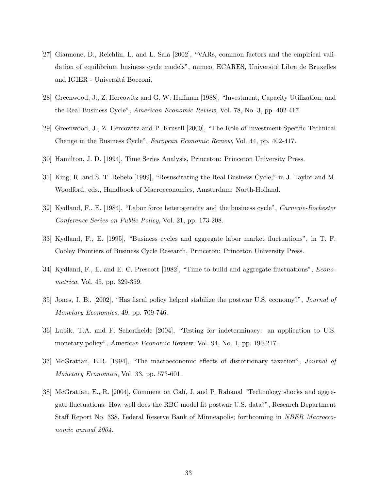- [27] Giannone, D., Reichlin, L. and L. Sala [2002], "VARs, common factors and the empirical validation of equilibrium business cycle models", mimeo, ECARES, Université Libre de Bruxelles and IGIER - Universitá Bocconi.
- [28] Greenwood, J., Z. Hercowitz and G. W. Huffman [1988], "Investment, Capacity Utilization, and the Real Business Cycle", American Economic Review, Vol. 78, No. 3, pp. 402-417.
- [29] Greenwood, J., Z. Hercowitz and P. Krusell [2000], "The Role of Investment-Specific Technical Change in the Business Cycle", European Economic Review, Vol. 44, pp. 402-417.
- [30] Hamilton, J. D. [1994], Time Series Analysis, Princeton: Princeton University Press.
- [31] King, R. and S. T. Rebelo [1999], "Resuscitating the Real Business Cycle," in J. Taylor and M. Woodford, eds., Handbook of Macroeconomics, Amsterdam: North-Holland.
- [32] Kydland, F., E. [1984], "Labor force heterogeneity and the business cycle", Carnegie-Rochester Conference Series on Public Policy, Vol. 21, pp. 173-208.
- [33] Kydland, F., E. [1995], "Business cycles and aggregate labor market fluctuations", in T. F. Cooley Frontiers of Business Cycle Research, Princeton: Princeton University Press.
- [34] Kydland, F., E. and E. C. Prescott [1982], "Time to build and aggregate fluctuations", Econometrica, Vol. 45, pp. 329-359.
- [35] Jones, J. B., [2002], "Has fiscal policy helped stabilize the postwar U.S. economy?", Journal of Monetary Economics, 49, pp. 709-746.
- [36] Lubik, T.A. and F. Schorfheide [2004], "Testing for indeterminacy: an application to U.S. monetary policy", American Economic Review, Vol. 94, No. 1, pp. 190-217.
- [37] McGrattan, E.R. [1994], "The macroeconomic effects of distortionary taxation", *Journal of* Monetary Economics, Vol. 33, pp. 573-601.
- [38] McGrattan, E., R. [2004], Comment on Galí, J. and P. Rabanal "Technology shocks and aggregate fluctuations: How well does the RBC model fit postwar U.S. data?", Research Department Staff Report No. 338, Federal Reserve Bank of Minneapolis; forthcoming in NBER Macroeconomic annual 2004.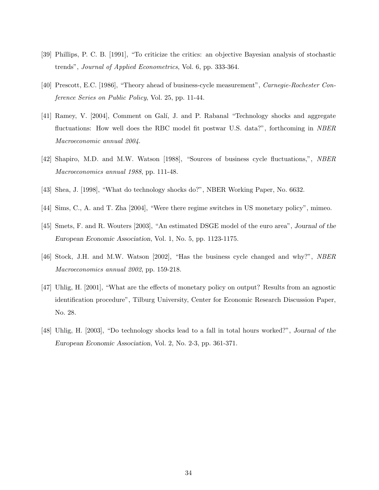- [39] Phillips, P. C. B. [1991], "To criticize the critics: an objective Bayesian analysis of stochastic trends", Journal of Applied Econometrics, Vol. 6, pp. 333-364.
- [40] Prescott, E.C. [1986], "Theory ahead of business-cycle measurement", Carnegie-Rochester Conference Series on Public Policy, Vol. 25, pp. 11-44.
- [41] Ramey, V. [2004], Comment on Galí, J. and P. Rabanal "Technology shocks and aggregate fluctuations: How well does the RBC model fit postwar U.S. data?", forthcoming in NBER Macroeconomic annual 2004.
- [42] Shapiro, M.D. and M.W. Watson [1988], "Sources of business cycle fluctuations,", NBER Macroeconomics annual 1988, pp. 111-48.
- [43] Shea, J. [1998], "What do technology shocks do?", NBER Working Paper, No. 6632.
- [44] Sims, C., A. and T. Zha [2004], "Were there regime switches in US monetary policy", mimeo.
- [45] Smets, F. and R. Wouters [2003], "An estimated DSGE model of the euro area", Journal of the European Economic Association, Vol. 1, No. 5, pp. 1123-1175.
- [46] Stock, J.H. and M.W. Watson [2002], "Has the business cycle changed and why?", NBER Macroeconomics annual 2002, pp. 159-218.
- [47] Uhlig, H. [2001], "What are the effects of monetary policy on output? Results from an agnostic identification procedure", Tilburg University, Center for Economic Research Discussion Paper, No. 28.
- [48] Uhlig, H. [2003], "Do technology shocks lead to a fall in total hours worked?", Journal of the European Economic Association, Vol. 2, No. 2-3, pp. 361-371.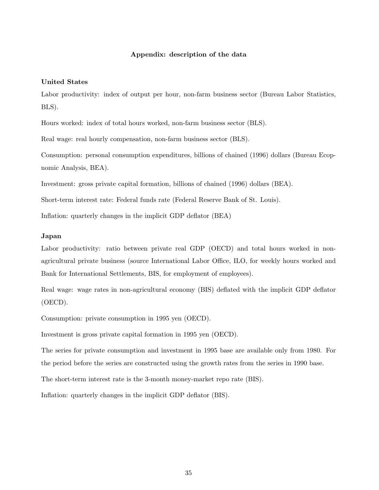#### Appendix: description of the data

#### United States

Labor productivity: index of output per hour, non-farm business sector (Bureau Labor Statistics, BLS).

Hours worked: index of total hours worked, non-farm business sector (BLS).

Real wage: real hourly compensation, non-farm business sector (BLS).

Consumption: personal consumption expenditures, billions of chained (1996) dollars (Bureau Ecopnomic Analysis, BEA).

Investment: gross private capital formation, billions of chained (1996) dollars (BEA).

Short-term interest rate: Federal funds rate (Federal Reserve Bank of St. Louis).

Inflation: quarterly changes in the implicit GDP deflator (BEA)

#### Japan

Labor productivity: ratio between private real GDP (OECD) and total hours worked in nonagricultural private business (source International Labor Office, ILO, for weekly hours worked and Bank for International Settlements, BIS, for employment of employees).

Real wage: wage rates in non-agricultural economy (BIS) deflated with the implicit GDP deflator (OECD).

Consumption: private consumption in 1995 yen (OECD).

Investment is gross private capital formation in 1995 yen (OECD).

The series for private consumption and investment in 1995 base are available only from 1980. For the period before the series are constructed using the growth rates from the series in 1990 base.

The short-term interest rate is the 3-month money-market repo rate (BIS).

Inflation: quarterly changes in the implicit GDP deflator (BIS).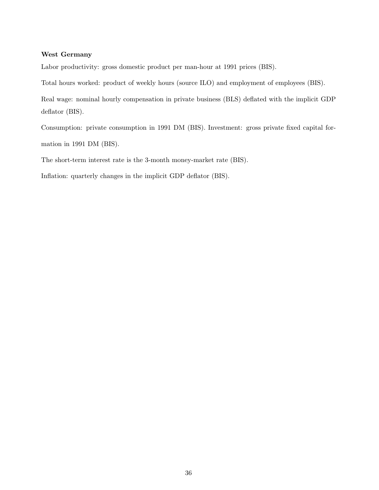#### West Germany

Labor productivity: gross domestic product per man-hour at 1991 prices (BIS).

Total hours worked: product of weekly hours (source ILO) and employment of employees (BIS).

Real wage: nominal hourly compensation in private business (BLS) deflated with the implicit GDP deflator (BIS).

Consumption: private consumption in 1991 DM (BIS). Investment: gross private fixed capital formation in 1991 DM (BIS).

The short-term interest rate is the 3-month money-market rate (BIS).

Inflation: quarterly changes in the implicit GDP deflator (BIS).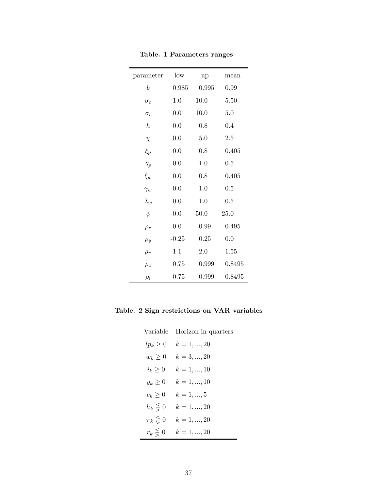| parameter        | low     | up    | mean   |
|------------------|---------|-------|--------|
| b                | 0.985   | 0.995 | 0.99   |
| $\sigma_c$       | 1.0     | 10.0  | 5.50   |
| $\sigma_l$       | 0.0     | 10.0  | 5.0    |
| $\boldsymbol{h}$ | 0.0     | 0.8   | 0.4    |
| $\chi$           | 0.0     | 5.0   | 2.5    |
| $\xi_p$          | 0.0     | 0.8   | 0.405  |
| $\gamma_p$       | 0.0     | 1.0   | 0.5    |
| $\xi_w$          | 0.0     | 0.8   | 0.405  |
| $\gamma_w$       | 0.0     | 1.0   | 0.5    |
| $\lambda_w$      | 0.0     | 1.0   | 0.5    |
| $\psi$           | 0.0     | 50.0  | 25.0   |
| $\rho_r$         | 0.0     | 0.99  | 0.495  |
| $\rho_y$         | $-0.25$ | 0.25  | 0.0    |
| $\rho_{\pi}$     | 1.1     | 2.0   | 1.55   |
| $\rho_z$         | 0.75    | 0.999 | 0.8495 |
| $\rho_i$         | 0.75    | 0.999 | 0.8495 |

Table. 1 Parameters ranges

Table. 2 Sign restrictions on VAR variables

| Variable       | Horizon in quarters |
|----------------|---------------------|
| $lp_k \geq 0$  | $k = 1, , 20$       |
| $w_k \geq 0$   | $k = 3, , 20$       |
| $i_k\geq 0$    | $k = 1, , 10$       |
| $y_k \geq 0$   | $k = 1, , 10$       |
| $c_k \geq 0$   | $k = 1, , 5$        |
| $h_k \leq 0$   | $k = 1, , 20$       |
| $\pi_k \leq 0$ | $k = 1, , 20$       |
| $r_k \leq 0$   | $k = 1, , 20$       |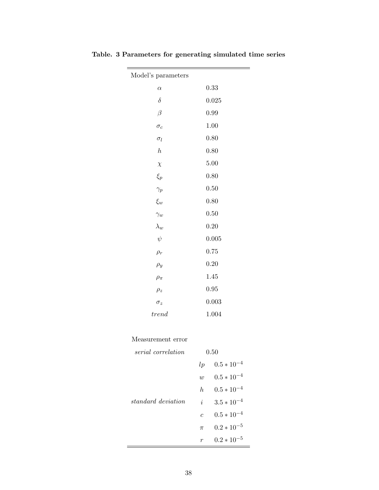| Model's parameters |       |
|--------------------|-------|
| $\alpha$           | 0.33  |
| $\delta$           | 0.025 |
| $\beta$            | 0.99  |
| $\sigma_c$         | 1.00  |
| $\sigma_l$         | 0.80  |
| $\boldsymbol{h}$   | 0.80  |
| $\chi$             | 5.00  |
| $\xi_p$            | 0.80  |
| $\gamma_p$         | 0.50  |
| $\xi_w$            | 0.80  |
| $\gamma_w$         | 0.50  |
| $\lambda_w$        | 0.20  |
| $\psi$             | 0.005 |
| $\rho_r$           | 0.75  |
| $\rho_y$           | 0.20  |
| $\rho_{\pi}$       | 1.45  |
| $\rho_z$           | 0.95  |
| $\sigma_z$         | 0.003 |
| trend              | 1.004 |

Table. 3 Parameters for generating simulated time series

 $\equiv$ 

 $\overline{\phantom{a}}$ 

#### Measurement error

| serial correlation | 0.50           |                 |
|--------------------|----------------|-----------------|
|                    | l p            | $0.5 * 10^{-4}$ |
|                    | $\overline{w}$ | $0.5 * 10^{-4}$ |
|                    | $h_{\cdot}$    | $0.5 * 10^{-4}$ |
| standard deviation | $\dot{i}$      | $3.5 * 10^{-4}$ |
|                    | $\epsilon$     | $0.5 * 10^{-4}$ |
|                    | $\pi$          | $0.2 * 10^{-5}$ |
|                    | r              | $0.2 * 10^{-5}$ |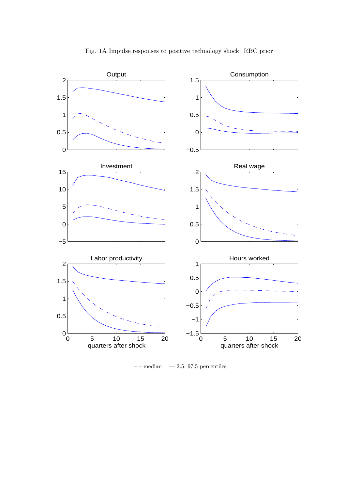

Fig. 1A Impulse responses to positive technology shock: RBC prior

 $--$  median  $--$  2.5, 97.5 percentiles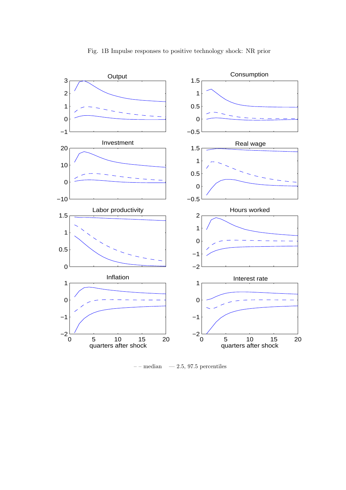

 $---$  median  $---$  2.5, 97.5 percentiles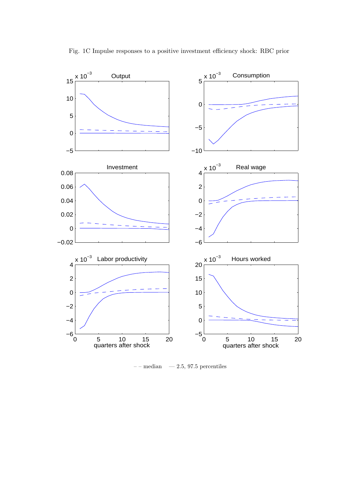

Fig. 1C Impulse responses to a positive investment efficiency shock: RBC prior

 $---$  median  $---$  2.5, 97.5 percentiles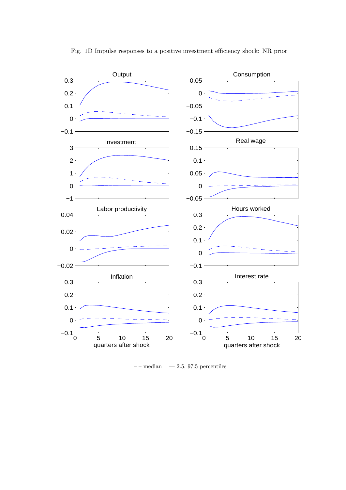

Fig. 1D Impulse responses to a positive investment efficiency shock: NR prior

 $---$  median  $---$  2.5, 97.5 percentiles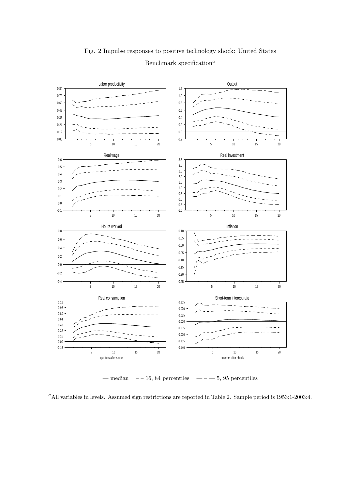

Fig. 2 Impulse responses to positive technology shock: United States Benchmark specification<sup> $a$ </sup>

— median  $-16$ , 84 percentiles — – – 5, 95 percentiles

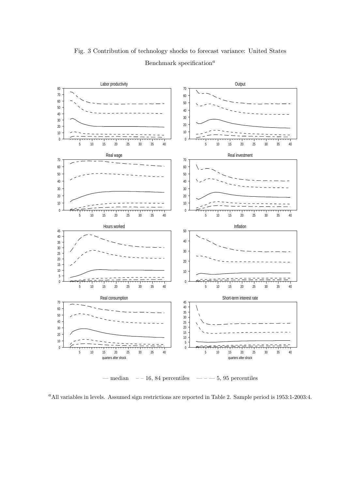

Fig. 3 Contribution of technology shocks to forecast variance: United States Benchmark specification<sup> $a$ </sup>

— median  $-16$ , 84 percentiles — – – 5, 95 percentiles

<sup>a</sup>All variables in levels. Assumed sign restrictions are reported in Table 2. Sample period is 1953:1-2003:4.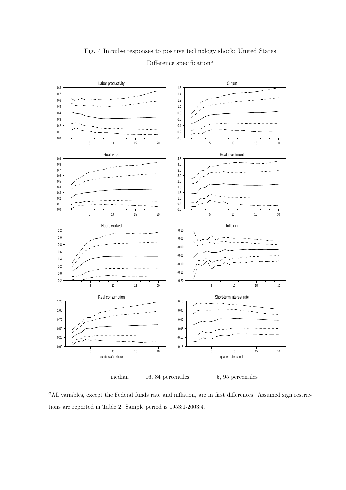

## Fig. 4 Impulse responses to positive technology shock: United States Difference specification<sup>a</sup>

— median  $-16$ , 84 percentiles — – – 5, 95 percentiles

<sup>a</sup>All variables, except the Federal funds rate and inflation, are in first differences. Assumed sign restrictions are reported in Table 2. Sample period is 1953:1-2003:4.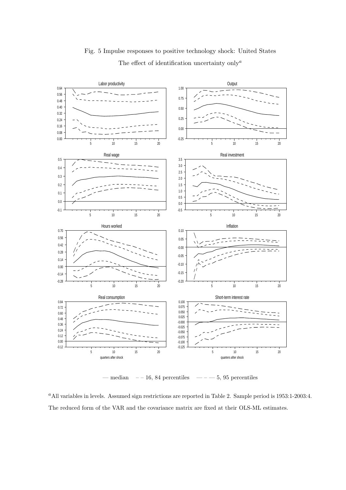

Fig. 5 Impulse responses to positive technology shock: United States The effect of identification uncertainty only<sup> $a$ </sup>

— median  $-16$ , 84 percentiles —  $-5$ , 95 percentiles

<sup>a</sup>All variables in levels. Assumed sign restrictions are reported in Table 2. Sample period is 1953:1-2003:4. The reduced form of the VAR and the covariance matrix are fixed at their OLS-ML estimates.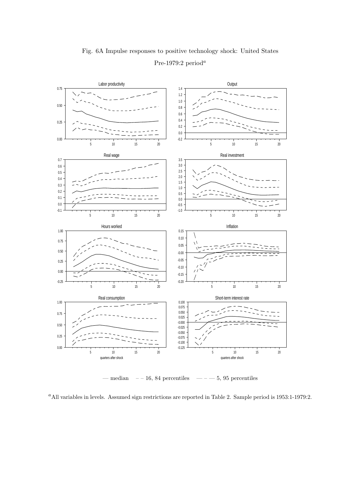

## Fig. 6A Impulse responses to positive technology shock: United States Pre-1979:2 period<sup>a</sup>

— median  $-16$ , 84 percentiles — – – 5, 95 percentiles

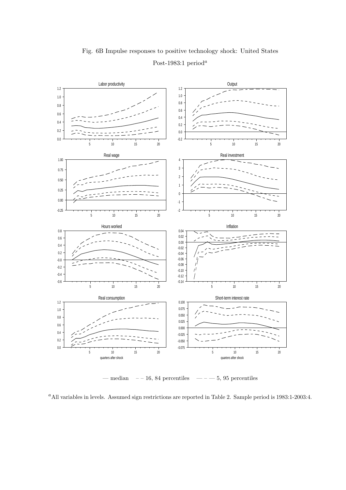

## Fig. 6B Impulse responses to positive technology shock: United States Post-1983:1 period<sup>a</sup>

— median  $-16$ , 84 percentiles — – – 5, 95 percentiles

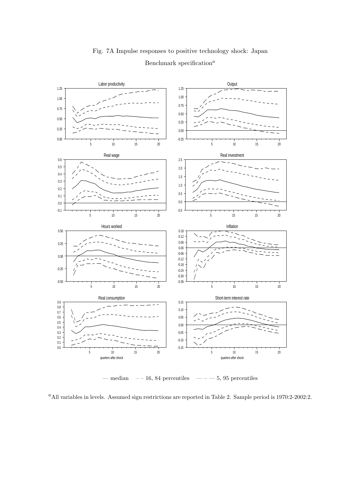

## Fig. 7A Impulse responses to positive technology shock: Japan Benchmark specification<sup> $a$ </sup>

— median  $-16$ , 84 percentiles — – – 5, 95 percentiles

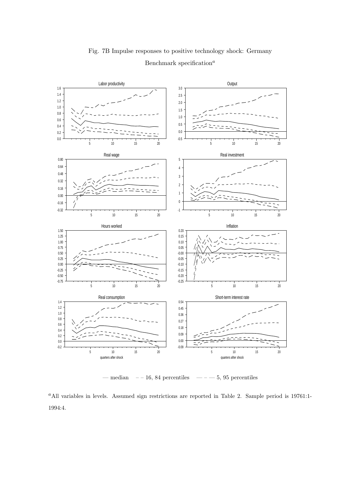

Fig. 7B Impulse responses to positive technology shock: Germany Benchmark specification<sup> $a$ </sup>

— median – – 16, 84 percentiles — – — 5, 95 percentiles

<sup>a</sup>All variables in levels. Assumed sign restrictions are reported in Table 2. Sample period is 19761:1-1994:4.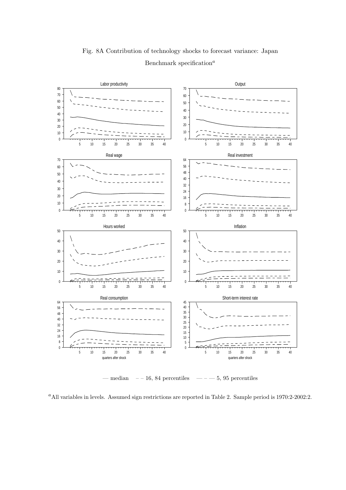

Fig. 8A Contribution of technology shocks to forecast variance: Japan Benchmark specification<sup> $a$ </sup>

— median  $-16$ , 84 percentiles — – – 5, 95 percentiles

<sup>a</sup>All variables in levels. Assumed sign restrictions are reported in Table 2. Sample period is 1970:2-2002:2.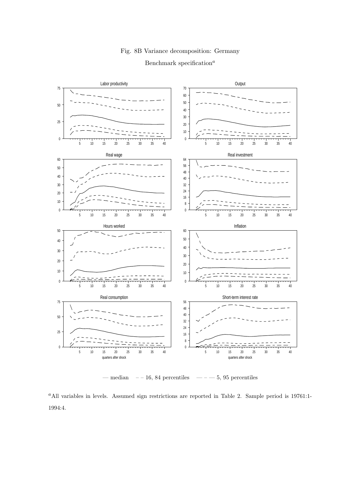#### Fig. 8B Variance decomposition: Germany

#### Benchmark specification<sup> $a$ </sup>



— median – – 16, 84 percentiles — – — 5, 95 percentiles

<sup>a</sup>All variables in levels. Assumed sign restrictions are reported in Table 2. Sample period is 19761:1-1994:4.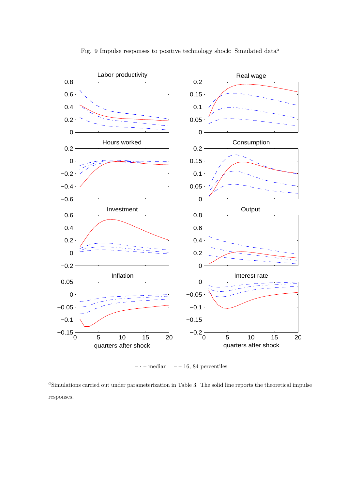

Fig. 9 Impulse responses to positive technology shock: Simulated data<sup> $a$ </sup>

 $-$  median  $-$  – 16, 84 percentiles

<sup>a</sup>Simulations carried out under parameterization in Table 3. The solid line reports the theoretical impulse responses.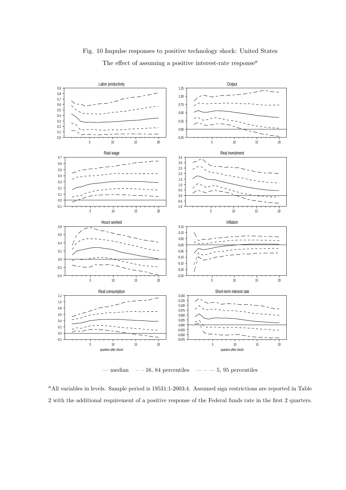

## Fig. 10 Impulse responses to positive technology shock: United States The effect of assuming a positive interest-rate response<sup> $a$ </sup>

— median  $-16$ , 84 percentiles —  $-5$ , 95 percentiles

 $a$ All variables in levels. Sample period is 19531:1-2003:4. Assumed sign restrictions are reported in Table 2 with the additional requirement of a positive response of the Federal funds rate in the first 2 quarters.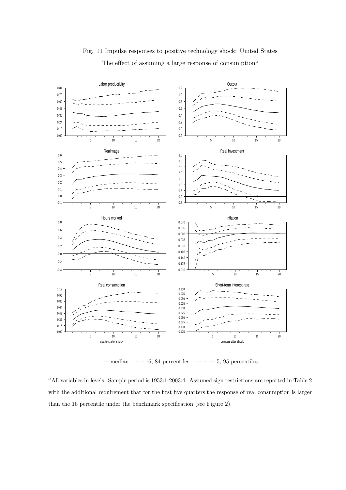

Fig. 11 Impulse responses to positive technology shock: United States The effect of assuming a large response of consumption<sup> $a$ </sup>

— median  $-16$ , 84 percentiles — – – 5, 95 percentiles

<sup>a</sup>All variables in levels. Sample period is 1953:1-2003:4. Assumed sign restrictions are reported in Table 2 with the additional requirement that for the first five quarters the response of real consumption is larger than the 16 percentile under the benchmark specification (see Figure 2).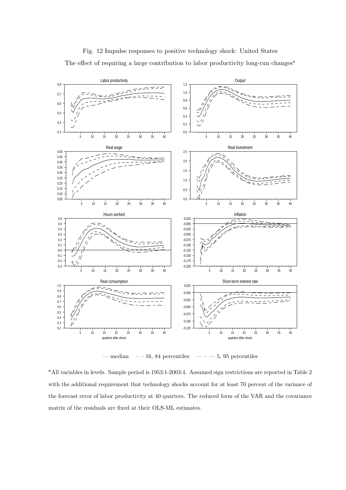

Fig. 12 Impulse responses to positive technology shock: United States The effect of requiring a large contribution to labor productivity long-run changes<sup> $a$ </sup>

— median  $-16$ , 84 percentiles —  $-5$ , 95 percentiles

<sup>a</sup>All variables in levels. Sample period is 1953:1-2003:4. Assumed sign restrictions are reported in Table 2 with the additional requirement that technology shocks account for at least 70 percent of the variance of the forecast error of labor productivity at 40 quarters. The reduced form of the VAR and the covariance matrix of the residuals are fixed at their OLS-ML estimates.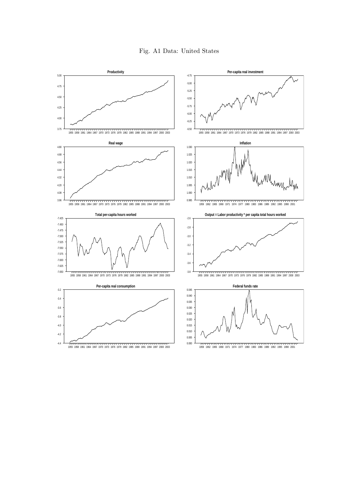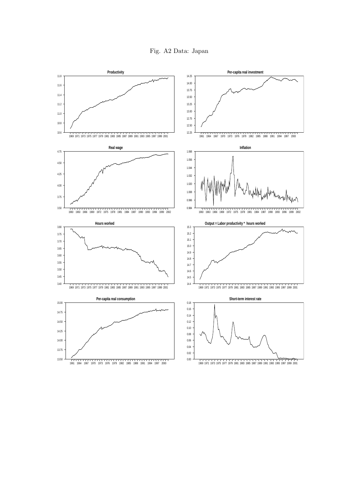